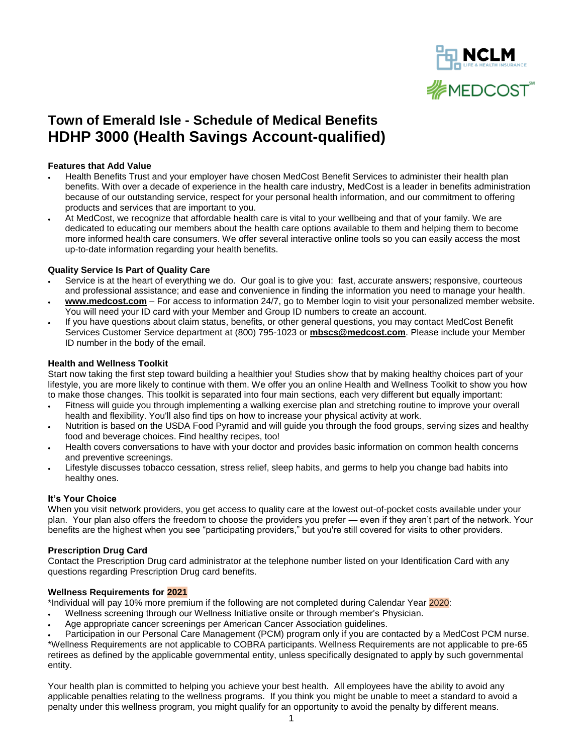

# **Town of Emerald Isle - Schedule of Medical Benefits HDHP 3000 (Health Savings Account-qualified)**

# **Features that Add Value**

- Health Benefits Trust and your employer have chosen MedCost Benefit Services to administer their health plan benefits. With over a decade of experience in the health care industry, MedCost is a leader in benefits administration because of our outstanding service, respect for your personal health information, and our commitment to offering products and services that are important to you.
- At MedCost, we recognize that affordable health care is vital to your wellbeing and that of your family. We are dedicated to educating our members about the health care options available to them and helping them to become more informed health care consumers. We offer several interactive online tools so you can easily access the most up-to-date information regarding your health benefits.

## **Quality Service Is Part of Quality Care**

- Service is at the heart of everything we do. Our goal is to give you: fast, accurate answers; responsive, courteous and professional assistance; and ease and convenience in finding the information you need to manage your health.
- **www.medcost.com** For access to information 24/7, go to [Member login](https://secure.healthx.com/mbshr.aspx) to visit your personalized member website. You will need your ID card with your Member and Group ID numbers to create an account.
- If you have questions about claim status, benefits, or other general questions, you may contact MedCost Benefit Services Customer Service department at (800) 795-1023 or **[mbscs@medcost.com](mailto:mbscs@medcost.com)**. Please include your Member ID number in the body of the email.

## **Health and Wellness Toolkit**

Start now taking the first step toward building a healthier you! Studies show that by making healthy choices part of your lifestyle, you are more likely to continue with them. We offer you an online Health and Wellness Toolkit to show you how to make those changes. This toolkit is separated into four main sections, each very different but equally important:

- [Fitness](http://www.mbstpa.com/HW_Toolkit_Members_Fitness.htm) will guide you through implementing a walking exercise plan and stretching routine to improve your overall health and flexibility. You'll also find tips on how to increase your physical activity at work.
- [Nutrition](http://www.mbstpa.com/HW_Toolkit_Members_Nutrition.htm) is based on the USDA Food Pyramid and will guide you through the food groups, serving sizes and healthy food and beverage choices. Find healthy recipes, too!
- [Health](http://www.mbstpa.com/HW_Toolkit_Members_Health.htm) covers conversations to have with your doctor and provides basic information on common health concerns and preventive screenings.
- [Lifestyle](http://www.mbstpa.com/HW_Toolkit_Members_Lifestyle.htm) discusses tobacco cessation, stress relief, sleep habits, and germs to help you change bad habits into healthy ones.

#### **It's Your Choice**

When you visit network providers, you get access to quality care at the lowest out-of-pocket costs available under your plan. Your plan also offers the freedom to choose the providers you prefer — even if they aren't part of the network. Your benefits are the highest when you see "participating providers," but you're still covered for visits to other providers.

#### **Prescription Drug Card**

Contact the Prescription Drug card administrator at the telephone number listed on your Identification Card with any questions regarding Prescription Drug card benefits.

# **Wellness Requirements for 2021**

\*Individual will pay 10% more premium if the following are not completed during Calendar Year 2020:

- Wellness screening through our Wellness Initiative onsite or through member's Physician.
- Age appropriate cancer screenings per American Cancer Association guidelines.

 Participation in our Personal Care Management (PCM) program only if you are contacted by a MedCost PCM nurse. \*Wellness Requirements are not applicable to COBRA participants. Wellness Requirements are not applicable to pre-65 retirees as defined by the applicable governmental entity, unless specifically designated to apply by such governmental entity.

Your health plan is committed to helping you achieve your best health. All employees have the ability to avoid any applicable penalties relating to the wellness programs. If you think you might be unable to meet a standard to avoid a penalty under this wellness program, you might qualify for an opportunity to avoid the penalty by different means.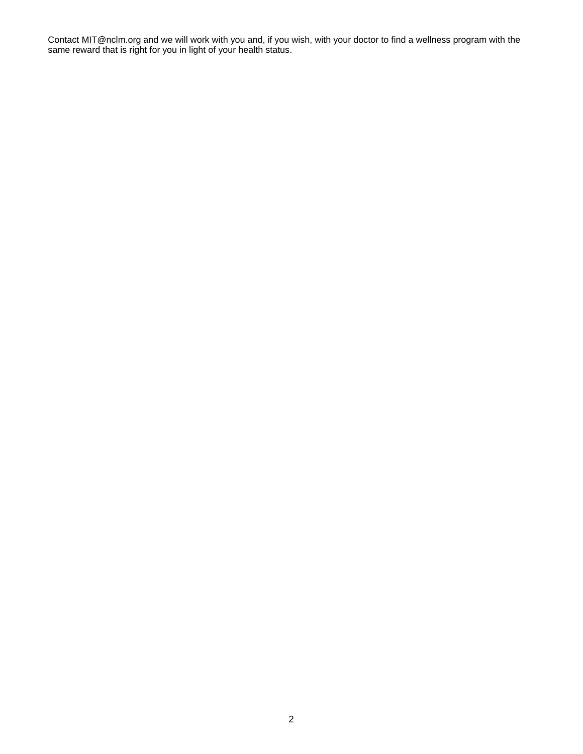Contact [MIT@nclm.org](mailto:MIT@nclm.org) and we will work with you and, if you wish, with your doctor to find a wellness program with the same reward that is right for you in light of your health status.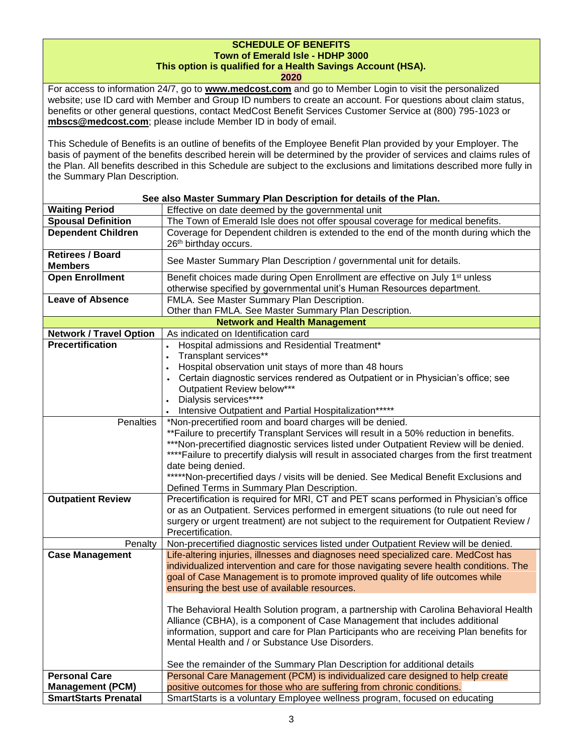# **SCHEDULE OF BENEFITS Town of Emerald Isle - HDHP 3000 This option is qualified for a Health Savings Account (HSA).**

**2020**

For access to information 24/7, go to **[www.medcost.com](http://www.medcost.com/)** and go to Member Login to visit the personalized website; use ID card with Member and Group ID numbers to create an account. For questions about claim status, benefits or other general questions, contact MedCost Benefit Services Customer Service at (800) 795-1023 or **mbscs@medcost.com**; please include Member ID in body of email.

This Schedule of Benefits is an outline of benefits of the Employee Benefit Plan provided by your Employer. The basis of payment of the benefits described herein will be determined by the provider of services and claims rules of the Plan. All benefits described in this Schedule are subject to the exclusions and limitations described more fully in the Summary Plan Description.

| See also Master Summary Plan Description for details of the Plan. |                                                                                                                                                                    |  |  |
|-------------------------------------------------------------------|--------------------------------------------------------------------------------------------------------------------------------------------------------------------|--|--|
| <b>Waiting Period</b>                                             | Effective on date deemed by the governmental unit                                                                                                                  |  |  |
| <b>Spousal Definition</b>                                         | The Town of Emerald Isle does not offer spousal coverage for medical benefits.                                                                                     |  |  |
| <b>Dependent Children</b>                                         | Coverage for Dependent children is extended to the end of the month during which the                                                                               |  |  |
|                                                                   | 26th birthday occurs.                                                                                                                                              |  |  |
| <b>Retirees / Board</b><br><b>Members</b>                         | See Master Summary Plan Description / governmental unit for details.                                                                                               |  |  |
| <b>Open Enrollment</b>                                            | Benefit choices made during Open Enrollment are effective on July 1 <sup>st</sup> unless<br>otherwise specified by governmental unit's Human Resources department. |  |  |
| <b>Leave of Absence</b>                                           | FMLA. See Master Summary Plan Description.                                                                                                                         |  |  |
|                                                                   | Other than FMLA. See Master Summary Plan Description.                                                                                                              |  |  |
|                                                                   | <b>Network and Health Management</b>                                                                                                                               |  |  |
| <b>Network / Travel Option</b>                                    | As indicated on Identification card                                                                                                                                |  |  |
| <b>Precertification</b>                                           | Hospital admissions and Residential Treatment*<br>$\bullet$                                                                                                        |  |  |
|                                                                   | Transplant services**<br>$\bullet$                                                                                                                                 |  |  |
|                                                                   | Hospital observation unit stays of more than 48 hours                                                                                                              |  |  |
|                                                                   | Certain diagnostic services rendered as Outpatient or in Physician's office; see                                                                                   |  |  |
|                                                                   | Outpatient Review below***                                                                                                                                         |  |  |
|                                                                   | Dialysis services****                                                                                                                                              |  |  |
|                                                                   | Intensive Outpatient and Partial Hospitalization*****                                                                                                              |  |  |
| Penalties                                                         | *Non-precertified room and board charges will be denied.                                                                                                           |  |  |
|                                                                   | **Failure to precertify Transplant Services will result in a 50% reduction in benefits.                                                                            |  |  |
|                                                                   | ***Non-precertified diagnostic services listed under Outpatient Review will be denied.                                                                             |  |  |
|                                                                   | ****Failure to precertify dialysis will result in associated charges from the first treatment                                                                      |  |  |
|                                                                   | date being denied.                                                                                                                                                 |  |  |
|                                                                   | *****Non-precertified days / visits will be denied. See Medical Benefit Exclusions and                                                                             |  |  |
|                                                                   | Defined Terms in Summary Plan Description.                                                                                                                         |  |  |
| <b>Outpatient Review</b>                                          | Precertification is required for MRI, CT and PET scans performed in Physician's office                                                                             |  |  |
|                                                                   | or as an Outpatient. Services performed in emergent situations (to rule out need for                                                                               |  |  |
|                                                                   | surgery or urgent treatment) are not subject to the requirement for Outpatient Review /                                                                            |  |  |
|                                                                   | Precertification.                                                                                                                                                  |  |  |
| Penalty                                                           | Non-precertified diagnostic services listed under Outpatient Review will be denied.                                                                                |  |  |
| <b>Case Management</b>                                            | Life-altering injuries, illnesses and diagnoses need specialized care. MedCost has                                                                                 |  |  |
|                                                                   | individualized intervention and care for those navigating severe health conditions. The                                                                            |  |  |
|                                                                   | goal of Case Management is to promote improved quality of life outcomes while                                                                                      |  |  |
|                                                                   | ensuring the best use of available resources.                                                                                                                      |  |  |
|                                                                   |                                                                                                                                                                    |  |  |
|                                                                   | The Behavioral Health Solution program, a partnership with Carolina Behavioral Health                                                                              |  |  |
|                                                                   | Alliance (CBHA), is a component of Case Management that includes additional                                                                                        |  |  |
|                                                                   | information, support and care for Plan Participants who are receiving Plan benefits for                                                                            |  |  |
|                                                                   | Mental Health and / or Substance Use Disorders.                                                                                                                    |  |  |
|                                                                   |                                                                                                                                                                    |  |  |
|                                                                   | See the remainder of the Summary Plan Description for additional details                                                                                           |  |  |
| <b>Personal Care</b>                                              | Personal Care Management (PCM) is individualized care designed to help create                                                                                      |  |  |
| <b>Management (PCM)</b>                                           | positive outcomes for those who are suffering from chronic conditions.                                                                                             |  |  |
| <b>SmartStarts Prenatal</b>                                       | SmartStarts is a voluntary Employee wellness program, focused on educating                                                                                         |  |  |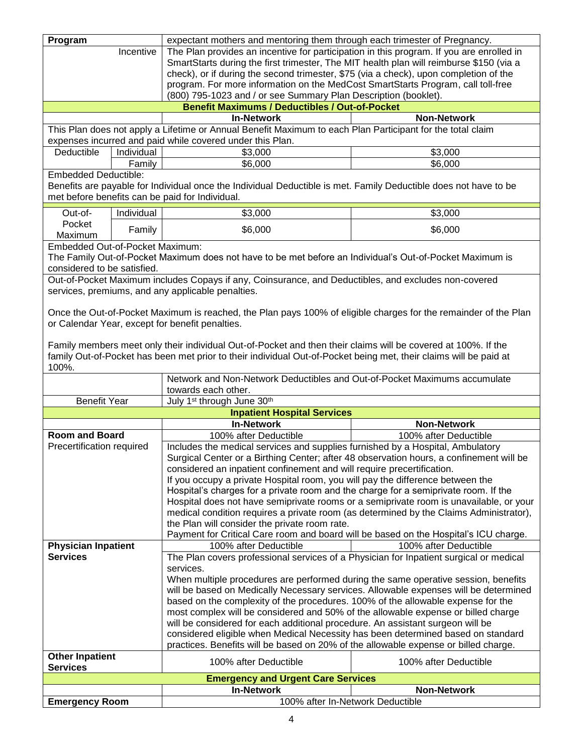| Program                                                         |            | expectant mothers and mentoring them through each trimester of Pregnancy.                                         |                       |  |
|-----------------------------------------------------------------|------------|-------------------------------------------------------------------------------------------------------------------|-----------------------|--|
| Incentive                                                       |            | The Plan provides an incentive for participation in this program. If you are enrolled in                          |                       |  |
|                                                                 |            | SmartStarts during the first trimester, The MIT health plan will reimburse \$150 (via a                           |                       |  |
|                                                                 |            | check), or if during the second trimester, \$75 (via a check), upon completion of the                             |                       |  |
|                                                                 |            | program. For more information on the MedCost SmartStarts Program, call toll-free                                  |                       |  |
| (800) 795-1023 and / or see Summary Plan Description (booklet). |            |                                                                                                                   |                       |  |
|                                                                 |            | <b>Benefit Maximums / Deductibles / Out-of-Pocket</b>                                                             |                       |  |
|                                                                 |            | <b>In-Network</b>                                                                                                 | <b>Non-Network</b>    |  |
|                                                                 |            | This Plan does not apply a Lifetime or Annual Benefit Maximum to each Plan Participant for the total claim        |                       |  |
|                                                                 |            | expenses incurred and paid while covered under this Plan.                                                         |                       |  |
| Deductible                                                      | Individual | \$3,000                                                                                                           | \$3,000               |  |
|                                                                 | Family     | \$6,000                                                                                                           | \$6,000               |  |
| <b>Embedded Deductible:</b>                                     |            |                                                                                                                   |                       |  |
|                                                                 |            | Benefits are payable for Individual once the Individual Deductible is met. Family Deductible does not have to be  |                       |  |
|                                                                 |            | met before benefits can be paid for Individual.                                                                   |                       |  |
|                                                                 |            |                                                                                                                   |                       |  |
| Out-of-                                                         | Individual | \$3,000                                                                                                           | \$3,000               |  |
| Pocket                                                          |            |                                                                                                                   |                       |  |
| Maximum                                                         | Family     | \$6,000                                                                                                           | \$6,000               |  |
| Embedded Out-of-Pocket Maximum:                                 |            |                                                                                                                   |                       |  |
|                                                                 |            | The Family Out-of-Pocket Maximum does not have to be met before an Individual's Out-of-Pocket Maximum is          |                       |  |
| considered to be satisfied.                                     |            |                                                                                                                   |                       |  |
|                                                                 |            | Out-of-Pocket Maximum includes Copays if any, Coinsurance, and Deductibles, and excludes non-covered              |                       |  |
|                                                                 |            | services, premiums, and any applicable penalties.                                                                 |                       |  |
|                                                                 |            |                                                                                                                   |                       |  |
|                                                                 |            | Once the Out-of-Pocket Maximum is reached, the Plan pays 100% of eligible charges for the remainder of the Plan   |                       |  |
|                                                                 |            | or Calendar Year, except for benefit penalties.                                                                   |                       |  |
|                                                                 |            |                                                                                                                   |                       |  |
|                                                                 |            |                                                                                                                   |                       |  |
|                                                                 |            | Family members meet only their individual Out-of-Pocket and then their claims will be covered at 100%. If the     |                       |  |
|                                                                 |            | family Out-of-Pocket has been met prior to their individual Out-of-Pocket being met, their claims will be paid at |                       |  |
| 100%.                                                           |            |                                                                                                                   |                       |  |
|                                                                 |            |                                                                                                                   |                       |  |
|                                                                 |            | Network and Non-Network Deductibles and Out-of-Pocket Maximums accumulate                                         |                       |  |
|                                                                 |            | towards each other.                                                                                               |                       |  |
| <b>Benefit Year</b>                                             |            | July 1 <sup>st</sup> through June 30 <sup>th</sup>                                                                |                       |  |
|                                                                 |            | <b>Inpatient Hospital Services</b>                                                                                |                       |  |
|                                                                 |            | <b>In-Network</b>                                                                                                 | <b>Non-Network</b>    |  |
| Room and Board                                                  |            | 100% after Deductible                                                                                             | 100% after Deductible |  |
| Precertification required                                       |            | Includes the medical services and supplies furnished by a Hospital, Ambulatory                                    |                       |  |
|                                                                 |            | Surgical Center or a Birthing Center; after 48 observation hours, a confinement will be                           |                       |  |
|                                                                 |            | considered an inpatient confinement and will require precertification.                                            |                       |  |
|                                                                 |            | If you occupy a private Hospital room, you will pay the difference between the                                    |                       |  |
|                                                                 |            |                                                                                                                   |                       |  |
|                                                                 |            | Hospital's charges for a private room and the charge for a semiprivate room. If the                               |                       |  |
|                                                                 |            | Hospital does not have semiprivate rooms or a semiprivate room is unavailable, or your                            |                       |  |
|                                                                 |            | medical condition requires a private room (as determined by the Claims Administrator),                            |                       |  |
|                                                                 |            | the Plan will consider the private room rate.                                                                     |                       |  |
|                                                                 |            | Payment for Critical Care room and board will be based on the Hospital's ICU charge.                              |                       |  |
| <b>Physician Inpatient</b><br><b>Services</b>                   |            | 100% after Deductible                                                                                             | 100% after Deductible |  |
|                                                                 |            | The Plan covers professional services of a Physician for Inpatient surgical or medical                            |                       |  |
|                                                                 |            | services.                                                                                                         |                       |  |
|                                                                 |            | When multiple procedures are performed during the same operative session, benefits                                |                       |  |
|                                                                 |            | will be based on Medically Necessary services. Allowable expenses will be determined                              |                       |  |
|                                                                 |            | based on the complexity of the procedures. 100% of the allowable expense for the                                  |                       |  |
|                                                                 |            | most complex will be considered and 50% of the allowable expense or billed charge                                 |                       |  |
|                                                                 |            | will be considered for each additional procedure. An assistant surgeon will be                                    |                       |  |
|                                                                 |            | considered eligible when Medical Necessity has been determined based on standard                                  |                       |  |
|                                                                 |            | practices. Benefits will be based on 20% of the allowable expense or billed charge.                               |                       |  |
| <b>Other Inpatient</b>                                          |            |                                                                                                                   |                       |  |
| <b>Services</b>                                                 |            | 100% after Deductible                                                                                             | 100% after Deductible |  |
|                                                                 |            | <b>Emergency and Urgent Care Services</b>                                                                         |                       |  |
| <b>Emergency Room</b>                                           |            | <b>In-Network</b><br>100% after In-Network Deductible                                                             | <b>Non-Network</b>    |  |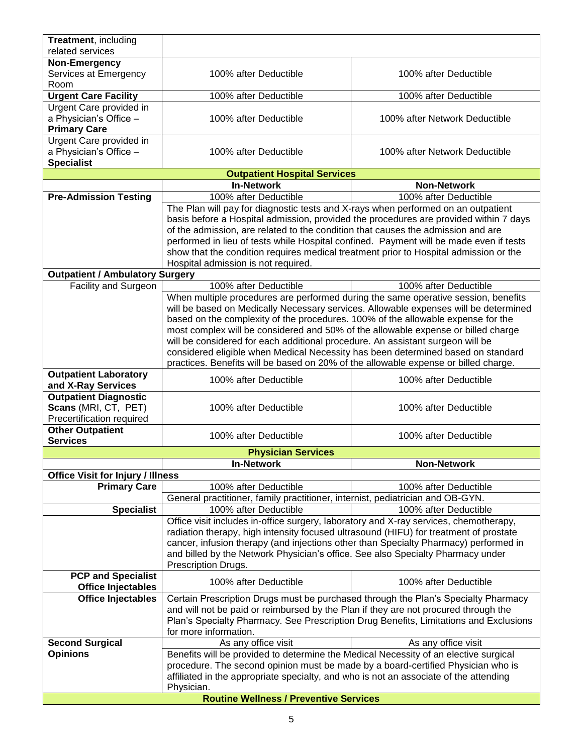| Treatment, including                                                              |                                                                                                                                                                                                                                                                                                                                                                                                     |                               |
|-----------------------------------------------------------------------------------|-----------------------------------------------------------------------------------------------------------------------------------------------------------------------------------------------------------------------------------------------------------------------------------------------------------------------------------------------------------------------------------------------------|-------------------------------|
| related services                                                                  |                                                                                                                                                                                                                                                                                                                                                                                                     |                               |
| Non-Emergency                                                                     |                                                                                                                                                                                                                                                                                                                                                                                                     |                               |
| Services at Emergency                                                             | 100% after Deductible                                                                                                                                                                                                                                                                                                                                                                               | 100% after Deductible         |
| Room                                                                              |                                                                                                                                                                                                                                                                                                                                                                                                     |                               |
| <b>Urgent Care Facility</b>                                                       | 100% after Deductible                                                                                                                                                                                                                                                                                                                                                                               | 100% after Deductible         |
| Urgent Care provided in<br>a Physician's Office -<br><b>Primary Care</b>          | 100% after Deductible                                                                                                                                                                                                                                                                                                                                                                               | 100% after Network Deductible |
| Urgent Care provided in<br>a Physician's Office -<br><b>Specialist</b>            | 100% after Deductible                                                                                                                                                                                                                                                                                                                                                                               | 100% after Network Deductible |
|                                                                                   | <b>Outpatient Hospital Services</b>                                                                                                                                                                                                                                                                                                                                                                 |                               |
|                                                                                   | <b>In-Network</b>                                                                                                                                                                                                                                                                                                                                                                                   | <b>Non-Network</b>            |
| <b>Pre-Admission Testing</b>                                                      | 100% after Deductible                                                                                                                                                                                                                                                                                                                                                                               | 100% after Deductible         |
|                                                                                   | The Plan will pay for diagnostic tests and X-rays when performed on an outpatient                                                                                                                                                                                                                                                                                                                   |                               |
|                                                                                   | basis before a Hospital admission, provided the procedures are provided within 7 days<br>of the admission, are related to the condition that causes the admission and are<br>performed in lieu of tests while Hospital confined. Payment will be made even if tests<br>show that the condition requires medical treatment prior to Hospital admission or the<br>Hospital admission is not required. |                               |
| <b>Outpatient / Ambulatory Surgery</b>                                            |                                                                                                                                                                                                                                                                                                                                                                                                     |                               |
| Facility and Surgeon                                                              | 100% after Deductible                                                                                                                                                                                                                                                                                                                                                                               | 100% after Deductible         |
|                                                                                   | When multiple procedures are performed during the same operative session, benefits<br>will be based on Medically Necessary services. Allowable expenses will be determined                                                                                                                                                                                                                          |                               |
|                                                                                   | based on the complexity of the procedures. 100% of the allowable expense for the                                                                                                                                                                                                                                                                                                                    |                               |
|                                                                                   | most complex will be considered and 50% of the allowable expense or billed charge                                                                                                                                                                                                                                                                                                                   |                               |
|                                                                                   | will be considered for each additional procedure. An assistant surgeon will be                                                                                                                                                                                                                                                                                                                      |                               |
|                                                                                   | considered eligible when Medical Necessity has been determined based on standard                                                                                                                                                                                                                                                                                                                    |                               |
|                                                                                   | practices. Benefits will be based on 20% of the allowable expense or billed charge.                                                                                                                                                                                                                                                                                                                 |                               |
| <b>Outpatient Laboratory</b><br>and X-Ray Services                                | 100% after Deductible                                                                                                                                                                                                                                                                                                                                                                               | 100% after Deductible         |
| <b>Outpatient Diagnostic</b><br>Scans (MRI, CT, PET)<br>Precertification required | 100% after Deductible                                                                                                                                                                                                                                                                                                                                                                               | 100% after Deductible         |
| <b>Other Outpatient</b><br><b>Services</b>                                        | 100% after Deductible                                                                                                                                                                                                                                                                                                                                                                               | 100% after Deductible         |
|                                                                                   | <b>Physician Services</b>                                                                                                                                                                                                                                                                                                                                                                           |                               |
|                                                                                   | <b>In-Network</b>                                                                                                                                                                                                                                                                                                                                                                                   | <b>Non-Network</b>            |
| <b>Office Visit for Injury / Illness</b>                                          |                                                                                                                                                                                                                                                                                                                                                                                                     |                               |
| <b>Primary Care</b>                                                               | 100% after Deductible                                                                                                                                                                                                                                                                                                                                                                               | 100% after Deductible         |
|                                                                                   | General practitioner, family practitioner, internist, pediatrician and OB-GYN.                                                                                                                                                                                                                                                                                                                      |                               |
| <b>Specialist</b>                                                                 | 100% after Deductible                                                                                                                                                                                                                                                                                                                                                                               | 100% after Deductible         |
|                                                                                   | Office visit includes in-office surgery, laboratory and X-ray services, chemotherapy,                                                                                                                                                                                                                                                                                                               |                               |
|                                                                                   | radiation therapy, high intensity focused ultrasound (HIFU) for treatment of prostate                                                                                                                                                                                                                                                                                                               |                               |
|                                                                                   | cancer, infusion therapy (and injections other than Specialty Pharmacy) performed in                                                                                                                                                                                                                                                                                                                |                               |
|                                                                                   | and billed by the Network Physician's office. See also Specialty Pharmacy under<br>Prescription Drugs.                                                                                                                                                                                                                                                                                              |                               |
| <b>PCP and Specialist</b><br><b>Office Injectables</b>                            | 100% after Deductible                                                                                                                                                                                                                                                                                                                                                                               | 100% after Deductible         |
| <b>Office Injectables</b>                                                         | Certain Prescription Drugs must be purchased through the Plan's Specialty Pharmacy                                                                                                                                                                                                                                                                                                                  |                               |
|                                                                                   | and will not be paid or reimbursed by the Plan if they are not procured through the                                                                                                                                                                                                                                                                                                                 |                               |
|                                                                                   | Plan's Specialty Pharmacy. See Prescription Drug Benefits, Limitations and Exclusions                                                                                                                                                                                                                                                                                                               |                               |
|                                                                                   | for more information.                                                                                                                                                                                                                                                                                                                                                                               |                               |
| <b>Second Surgical</b>                                                            | As any office visit                                                                                                                                                                                                                                                                                                                                                                                 | As any office visit           |
| <b>Opinions</b>                                                                   | Benefits will be provided to determine the Medical Necessity of an elective surgical                                                                                                                                                                                                                                                                                                                |                               |
|                                                                                   | procedure. The second opinion must be made by a board-certified Physician who is                                                                                                                                                                                                                                                                                                                    |                               |
|                                                                                   | affiliated in the appropriate specialty, and who is not an associate of the attending<br>Physician.                                                                                                                                                                                                                                                                                                 |                               |
|                                                                                   |                                                                                                                                                                                                                                                                                                                                                                                                     |                               |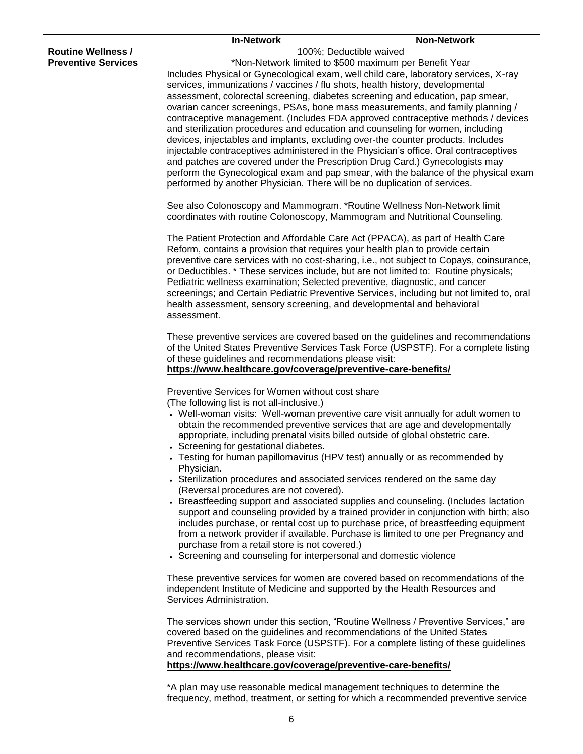|                                                                                                                                 | <b>In-Network</b>                                                                                                                                                                                                                                               | <b>Non-Network</b>                                                                                                                                                          |
|---------------------------------------------------------------------------------------------------------------------------------|-----------------------------------------------------------------------------------------------------------------------------------------------------------------------------------------------------------------------------------------------------------------|-----------------------------------------------------------------------------------------------------------------------------------------------------------------------------|
| <b>Routine Wellness /</b>                                                                                                       | 100%; Deductible waived                                                                                                                                                                                                                                         |                                                                                                                                                                             |
| <b>Preventive Services</b>                                                                                                      | *Non-Network limited to \$500 maximum per Benefit Year                                                                                                                                                                                                          |                                                                                                                                                                             |
|                                                                                                                                 | Includes Physical or Gynecological exam, well child care, laboratory services, X-ray                                                                                                                                                                            |                                                                                                                                                                             |
|                                                                                                                                 | services, immunizations / vaccines / flu shots, health history, developmental                                                                                                                                                                                   |                                                                                                                                                                             |
|                                                                                                                                 | assessment, colorectal screening, diabetes screening and education, pap smear,                                                                                                                                                                                  |                                                                                                                                                                             |
|                                                                                                                                 | ovarian cancer screenings, PSAs, bone mass measurements, and family planning /                                                                                                                                                                                  |                                                                                                                                                                             |
|                                                                                                                                 | contraceptive management. (Includes FDA approved contraceptive methods / devices                                                                                                                                                                                |                                                                                                                                                                             |
|                                                                                                                                 | and sterilization procedures and education and counseling for women, including                                                                                                                                                                                  |                                                                                                                                                                             |
|                                                                                                                                 | devices, injectables and implants, excluding over-the counter products. Includes                                                                                                                                                                                |                                                                                                                                                                             |
|                                                                                                                                 | injectable contraceptives administered in the Physician's office. Oral contraceptives                                                                                                                                                                           |                                                                                                                                                                             |
|                                                                                                                                 | and patches are covered under the Prescription Drug Card.) Gynecologists may                                                                                                                                                                                    |                                                                                                                                                                             |
|                                                                                                                                 | perform the Gynecological exam and pap smear, with the balance of the physical exam                                                                                                                                                                             |                                                                                                                                                                             |
|                                                                                                                                 | performed by another Physician. There will be no duplication of services.                                                                                                                                                                                       |                                                                                                                                                                             |
|                                                                                                                                 | See also Colonoscopy and Mammogram. *Routine Wellness Non-Network limit<br>coordinates with routine Colonoscopy, Mammogram and Nutritional Counseling.                                                                                                          |                                                                                                                                                                             |
|                                                                                                                                 | The Patient Protection and Affordable Care Act (PPACA), as part of Health Care<br>Reform, contains a provision that requires your health plan to provide certain                                                                                                |                                                                                                                                                                             |
|                                                                                                                                 | preventive care services with no cost-sharing, i.e., not subject to Copays, coinsurance,<br>or Deductibles. * These services include, but are not limited to: Routine physicals;<br>Pediatric wellness examination; Selected preventive, diagnostic, and cancer |                                                                                                                                                                             |
|                                                                                                                                 | screenings; and Certain Pediatric Preventive Services, including but not limited to, oral                                                                                                                                                                       |                                                                                                                                                                             |
|                                                                                                                                 | health assessment, sensory screening, and developmental and behavioral                                                                                                                                                                                          |                                                                                                                                                                             |
|                                                                                                                                 | assessment.                                                                                                                                                                                                                                                     |                                                                                                                                                                             |
|                                                                                                                                 | These preventive services are covered based on the guidelines and recommendations                                                                                                                                                                               |                                                                                                                                                                             |
|                                                                                                                                 | of the United States Preventive Services Task Force (USPSTF). For a complete listing                                                                                                                                                                            |                                                                                                                                                                             |
|                                                                                                                                 | of these guidelines and recommendations please visit:                                                                                                                                                                                                           |                                                                                                                                                                             |
|                                                                                                                                 | https://www.healthcare.gov/coverage/preventive-care-benefits/                                                                                                                                                                                                   |                                                                                                                                                                             |
|                                                                                                                                 | Preventive Services for Women without cost share                                                                                                                                                                                                                |                                                                                                                                                                             |
| (The following list is not all-inclusive.)<br>• Well-woman visits: Well-woman preventive care visit annually for adult women to |                                                                                                                                                                                                                                                                 |                                                                                                                                                                             |
|                                                                                                                                 |                                                                                                                                                                                                                                                                 |                                                                                                                                                                             |
|                                                                                                                                 | obtain the recommended preventive services that are age and developmentally                                                                                                                                                                                     |                                                                                                                                                                             |
|                                                                                                                                 | appropriate, including prenatal visits billed outside of global obstetric care.                                                                                                                                                                                 |                                                                                                                                                                             |
|                                                                                                                                 | • Screening for gestational diabetes.                                                                                                                                                                                                                           |                                                                                                                                                                             |
|                                                                                                                                 | • Testing for human papillomavirus (HPV test) annually or as recommended by                                                                                                                                                                                     |                                                                                                                                                                             |
|                                                                                                                                 | Physician.                                                                                                                                                                                                                                                      |                                                                                                                                                                             |
|                                                                                                                                 | • Sterilization procedures and associated services rendered on the same day                                                                                                                                                                                     |                                                                                                                                                                             |
|                                                                                                                                 | (Reversal procedures are not covered).                                                                                                                                                                                                                          |                                                                                                                                                                             |
|                                                                                                                                 | • Breastfeeding support and associated supplies and counseling. (Includes lactation                                                                                                                                                                             |                                                                                                                                                                             |
|                                                                                                                                 |                                                                                                                                                                                                                                                                 | support and counseling provided by a trained provider in conjunction with birth; also<br>includes purchase, or rental cost up to purchase price, of breastfeeding equipment |
|                                                                                                                                 | from a network provider if available. Purchase is limited to one per Pregnancy and                                                                                                                                                                              |                                                                                                                                                                             |
|                                                                                                                                 | purchase from a retail store is not covered.)                                                                                                                                                                                                                   |                                                                                                                                                                             |
|                                                                                                                                 | • Screening and counseling for interpersonal and domestic violence                                                                                                                                                                                              |                                                                                                                                                                             |
|                                                                                                                                 |                                                                                                                                                                                                                                                                 |                                                                                                                                                                             |
|                                                                                                                                 | These preventive services for women are covered based on recommendations of the                                                                                                                                                                                 |                                                                                                                                                                             |
|                                                                                                                                 | independent Institute of Medicine and supported by the Health Resources and<br>Services Administration.                                                                                                                                                         |                                                                                                                                                                             |
|                                                                                                                                 |                                                                                                                                                                                                                                                                 |                                                                                                                                                                             |
|                                                                                                                                 | The services shown under this section, "Routine Wellness / Preventive Services," are                                                                                                                                                                            |                                                                                                                                                                             |
|                                                                                                                                 | covered based on the guidelines and recommendations of the United States                                                                                                                                                                                        |                                                                                                                                                                             |
|                                                                                                                                 | Preventive Services Task Force (USPSTF). For a complete listing of these guidelines                                                                                                                                                                             |                                                                                                                                                                             |
|                                                                                                                                 | and recommendations, please visit:<br>https://www.healthcare.gov/coverage/preventive-care-benefits/                                                                                                                                                             |                                                                                                                                                                             |
|                                                                                                                                 |                                                                                                                                                                                                                                                                 |                                                                                                                                                                             |
|                                                                                                                                 | *A plan may use reasonable medical management techniques to determine the                                                                                                                                                                                       |                                                                                                                                                                             |
|                                                                                                                                 | frequency, method, treatment, or setting for which a recommended preventive service                                                                                                                                                                             |                                                                                                                                                                             |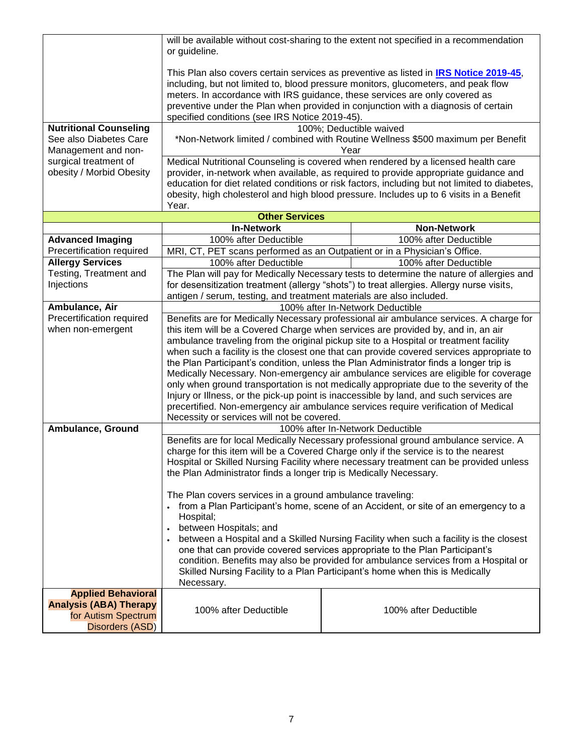|                                                   | will be available without cost-sharing to the extent not specified in a recommendation<br>or guideline.                                                                                                                                                                                                                                                                                            |  |                                                                                                                                                                                                                                                                                                                                                                       |
|---------------------------------------------------|----------------------------------------------------------------------------------------------------------------------------------------------------------------------------------------------------------------------------------------------------------------------------------------------------------------------------------------------------------------------------------------------------|--|-----------------------------------------------------------------------------------------------------------------------------------------------------------------------------------------------------------------------------------------------------------------------------------------------------------------------------------------------------------------------|
|                                                   | This Plan also covers certain services as preventive as listed in IRS Notice 2019-45,<br>including, but not limited to, blood pressure monitors, glucometers, and peak flow<br>meters. In accordance with IRS guidance, these services are only covered as<br>preventive under the Plan when provided in conjunction with a diagnosis of certain<br>specified conditions (see IRS Notice 2019-45). |  |                                                                                                                                                                                                                                                                                                                                                                       |
| <b>Nutritional Counseling</b>                     |                                                                                                                                                                                                                                                                                                                                                                                                    |  | 100%; Deductible waived                                                                                                                                                                                                                                                                                                                                               |
| See also Diabetes Care<br>Management and non-     | *Non-Network limited / combined with Routine Wellness \$500 maximum per Benefit<br>Year                                                                                                                                                                                                                                                                                                            |  |                                                                                                                                                                                                                                                                                                                                                                       |
| surgical treatment of<br>obesity / Morbid Obesity | Year.                                                                                                                                                                                                                                                                                                                                                                                              |  | Medical Nutritional Counseling is covered when rendered by a licensed health care<br>provider, in-network when available, as required to provide appropriate guidance and<br>education for diet related conditions or risk factors, including but not limited to diabetes,<br>obesity, high cholesterol and high blood pressure. Includes up to 6 visits in a Benefit |
|                                                   | <b>Other Services</b>                                                                                                                                                                                                                                                                                                                                                                              |  |                                                                                                                                                                                                                                                                                                                                                                       |
|                                                   | <b>In-Network</b>                                                                                                                                                                                                                                                                                                                                                                                  |  | <b>Non-Network</b>                                                                                                                                                                                                                                                                                                                                                    |
| <b>Advanced Imaging</b>                           | 100% after Deductible                                                                                                                                                                                                                                                                                                                                                                              |  | 100% after Deductible                                                                                                                                                                                                                                                                                                                                                 |
| Precertification required                         | MRI, CT, PET scans performed as an Outpatient or in a Physician's Office.                                                                                                                                                                                                                                                                                                                          |  |                                                                                                                                                                                                                                                                                                                                                                       |
| <b>Allergy Services</b>                           | 100% after Deductible                                                                                                                                                                                                                                                                                                                                                                              |  | 100% after Deductible                                                                                                                                                                                                                                                                                                                                                 |
| Testing, Treatment and<br>Injections              |                                                                                                                                                                                                                                                                                                                                                                                                    |  | The Plan will pay for Medically Necessary tests to determine the nature of allergies and<br>for desensitization treatment (allergy "shots") to treat allergies. Allergy nurse visits,                                                                                                                                                                                 |
|                                                   | antigen / serum, testing, and treatment materials are also included.                                                                                                                                                                                                                                                                                                                               |  |                                                                                                                                                                                                                                                                                                                                                                       |
| Ambulance, Air                                    |                                                                                                                                                                                                                                                                                                                                                                                                    |  | 100% after In-Network Deductible                                                                                                                                                                                                                                                                                                                                      |
| Precertification required                         |                                                                                                                                                                                                                                                                                                                                                                                                    |  | Benefits are for Medically Necessary professional air ambulance services. A charge for                                                                                                                                                                                                                                                                                |
| when non-emergent                                 | this item will be a Covered Charge when services are provided by, and in, an air                                                                                                                                                                                                                                                                                                                   |  |                                                                                                                                                                                                                                                                                                                                                                       |
|                                                   | ambulance traveling from the original pickup site to a Hospital or treatment facility                                                                                                                                                                                                                                                                                                              |  |                                                                                                                                                                                                                                                                                                                                                                       |
|                                                   |                                                                                                                                                                                                                                                                                                                                                                                                    |  | when such a facility is the closest one that can provide covered services appropriate to<br>the Plan Participant's condition, unless the Plan Administrator finds a longer trip is                                                                                                                                                                                    |
|                                                   |                                                                                                                                                                                                                                                                                                                                                                                                    |  | Medically Necessary. Non-emergency air ambulance services are eligible for coverage                                                                                                                                                                                                                                                                                   |
|                                                   |                                                                                                                                                                                                                                                                                                                                                                                                    |  | only when ground transportation is not medically appropriate due to the severity of the                                                                                                                                                                                                                                                                               |
|                                                   |                                                                                                                                                                                                                                                                                                                                                                                                    |  | Injury or Illness, or the pick-up point is inaccessible by land, and such services are                                                                                                                                                                                                                                                                                |
|                                                   |                                                                                                                                                                                                                                                                                                                                                                                                    |  | precertified. Non-emergency air ambulance services require verification of Medical                                                                                                                                                                                                                                                                                    |
|                                                   | Necessity or services will not be covered.                                                                                                                                                                                                                                                                                                                                                         |  |                                                                                                                                                                                                                                                                                                                                                                       |
| Ambulance, Ground                                 |                                                                                                                                                                                                                                                                                                                                                                                                    |  | 100% after In-Network Deductible                                                                                                                                                                                                                                                                                                                                      |
|                                                   |                                                                                                                                                                                                                                                                                                                                                                                                    |  | Benefits are for local Medically Necessary professional ground ambulance service. A                                                                                                                                                                                                                                                                                   |
|                                                   | charge for this item will be a Covered Charge only if the service is to the nearest                                                                                                                                                                                                                                                                                                                |  |                                                                                                                                                                                                                                                                                                                                                                       |
|                                                   |                                                                                                                                                                                                                                                                                                                                                                                                    |  | Hospital or Skilled Nursing Facility where necessary treatment can be provided unless                                                                                                                                                                                                                                                                                 |
|                                                   | the Plan Administrator finds a longer trip is Medically Necessary.                                                                                                                                                                                                                                                                                                                                 |  |                                                                                                                                                                                                                                                                                                                                                                       |
|                                                   | The Plan covers services in a ground ambulance traveling:                                                                                                                                                                                                                                                                                                                                          |  |                                                                                                                                                                                                                                                                                                                                                                       |
|                                                   |                                                                                                                                                                                                                                                                                                                                                                                                    |  | from a Plan Participant's home, scene of an Accident, or site of an emergency to a                                                                                                                                                                                                                                                                                    |
|                                                   | Hospital;                                                                                                                                                                                                                                                                                                                                                                                          |  |                                                                                                                                                                                                                                                                                                                                                                       |
|                                                   | between Hospitals; and                                                                                                                                                                                                                                                                                                                                                                             |  |                                                                                                                                                                                                                                                                                                                                                                       |
|                                                   | between a Hospital and a Skilled Nursing Facility when such a facility is the closest                                                                                                                                                                                                                                                                                                              |  |                                                                                                                                                                                                                                                                                                                                                                       |
|                                                   | one that can provide covered services appropriate to the Plan Participant's                                                                                                                                                                                                                                                                                                                        |  |                                                                                                                                                                                                                                                                                                                                                                       |
|                                                   | condition. Benefits may also be provided for ambulance services from a Hospital or<br>Skilled Nursing Facility to a Plan Participant's home when this is Medically                                                                                                                                                                                                                                 |  |                                                                                                                                                                                                                                                                                                                                                                       |
|                                                   | Necessary.                                                                                                                                                                                                                                                                                                                                                                                         |  |                                                                                                                                                                                                                                                                                                                                                                       |
| <b>Applied Behavioral</b>                         |                                                                                                                                                                                                                                                                                                                                                                                                    |  |                                                                                                                                                                                                                                                                                                                                                                       |
| <b>Analysis (ABA) Therapy</b>                     |                                                                                                                                                                                                                                                                                                                                                                                                    |  |                                                                                                                                                                                                                                                                                                                                                                       |
| for Autism Spectrum                               | 100% after Deductible<br>100% after Deductible                                                                                                                                                                                                                                                                                                                                                     |  |                                                                                                                                                                                                                                                                                                                                                                       |
| Disorders (ASD)                                   |                                                                                                                                                                                                                                                                                                                                                                                                    |  |                                                                                                                                                                                                                                                                                                                                                                       |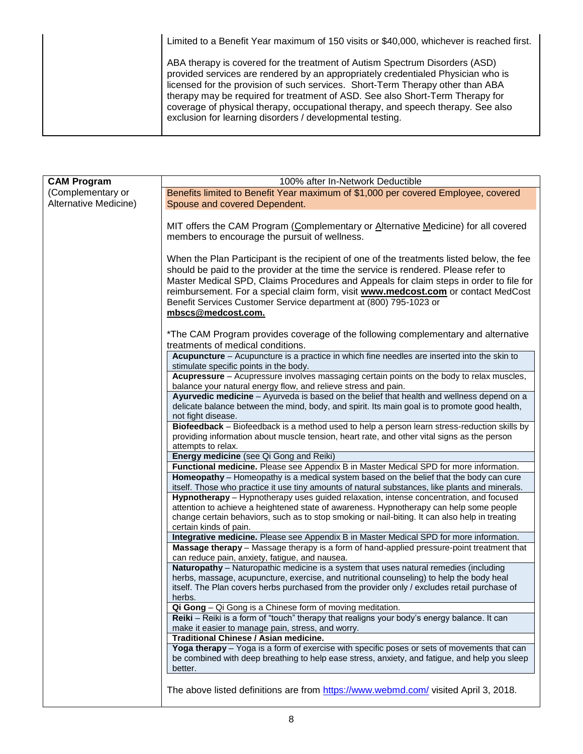| Limited to a Benefit Year maximum of 150 visits or \$40,000, whichever is reached first.                                                                                                                                                                                                                                                                                                                                                                                            |
|-------------------------------------------------------------------------------------------------------------------------------------------------------------------------------------------------------------------------------------------------------------------------------------------------------------------------------------------------------------------------------------------------------------------------------------------------------------------------------------|
| ABA therapy is covered for the treatment of Autism Spectrum Disorders (ASD)<br>provided services are rendered by an appropriately credentialed Physician who is<br>licensed for the provision of such services. Short-Term Therapy other than ABA<br>therapy may be required for treatment of ASD. See also Short-Term Therapy for<br>coverage of physical therapy, occupational therapy, and speech therapy. See also<br>exclusion for learning disorders / developmental testing. |

| <b>CAM Program</b>    | 100% after In-Network Deductible                                                                                                                                                          |  |  |
|-----------------------|-------------------------------------------------------------------------------------------------------------------------------------------------------------------------------------------|--|--|
| (Complementary or     | Benefits limited to Benefit Year maximum of \$1,000 per covered Employee, covered                                                                                                         |  |  |
| Alternative Medicine) | Spouse and covered Dependent.                                                                                                                                                             |  |  |
|                       |                                                                                                                                                                                           |  |  |
|                       | MIT offers the CAM Program (Complementary or Alternative Medicine) for all covered                                                                                                        |  |  |
|                       | members to encourage the pursuit of wellness.                                                                                                                                             |  |  |
|                       |                                                                                                                                                                                           |  |  |
|                       | When the Plan Participant is the recipient of one of the treatments listed below, the fee                                                                                                 |  |  |
|                       | should be paid to the provider at the time the service is rendered. Please refer to                                                                                                       |  |  |
|                       | Master Medical SPD, Claims Procedures and Appeals for claim steps in order to file for                                                                                                    |  |  |
|                       | reimbursement. For a special claim form, visit www.medcost.com or contact MedCost                                                                                                         |  |  |
|                       | Benefit Services Customer Service department at (800) 795-1023 or                                                                                                                         |  |  |
|                       | mbscs@medcost.com.                                                                                                                                                                        |  |  |
|                       |                                                                                                                                                                                           |  |  |
|                       | *The CAM Program provides coverage of the following complementary and alternative                                                                                                         |  |  |
|                       | treatments of medical conditions.                                                                                                                                                         |  |  |
|                       | Acupuncture - Acupuncture is a practice in which fine needles are inserted into the skin to                                                                                               |  |  |
|                       | stimulate specific points in the body.                                                                                                                                                    |  |  |
|                       | Acupressure - Acupressure involves massaging certain points on the body to relax muscles,<br>balance your natural energy flow, and relieve stress and pain.                               |  |  |
|                       | Ayurvedic medicine - Ayurveda is based on the belief that health and wellness depend on a                                                                                                 |  |  |
|                       | delicate balance between the mind, body, and spirit. Its main goal is to promote good health,                                                                                             |  |  |
|                       | not fight disease.                                                                                                                                                                        |  |  |
|                       | Biofeedback - Biofeedback is a method used to help a person learn stress-reduction skills by                                                                                              |  |  |
|                       | providing information about muscle tension, heart rate, and other vital signs as the person                                                                                               |  |  |
|                       | attempts to relax.                                                                                                                                                                        |  |  |
|                       | Energy medicine (see Qi Gong and Reiki)                                                                                                                                                   |  |  |
|                       | Functional medicine. Please see Appendix B in Master Medical SPD for more information.                                                                                                    |  |  |
|                       | Homeopathy - Homeopathy is a medical system based on the belief that the body can cure<br>itself. Those who practice it use tiny amounts of natural substances, like plants and minerals. |  |  |
|                       | Hypnotherapy - Hypnotherapy uses guided relaxation, intense concentration, and focused                                                                                                    |  |  |
|                       | attention to achieve a heightened state of awareness. Hypnotherapy can help some people                                                                                                   |  |  |
|                       | change certain behaviors, such as to stop smoking or nail-biting. It can also help in treating                                                                                            |  |  |
|                       | certain kinds of pain.                                                                                                                                                                    |  |  |
|                       | Integrative medicine. Please see Appendix B in Master Medical SPD for more information.                                                                                                   |  |  |
|                       | Massage therapy - Massage therapy is a form of hand-applied pressure-point treatment that                                                                                                 |  |  |
|                       | can reduce pain, anxiety, fatigue, and nausea.                                                                                                                                            |  |  |
|                       | Naturopathy - Naturopathic medicine is a system that uses natural remedies (including                                                                                                     |  |  |
|                       | herbs, massage, acupuncture, exercise, and nutritional counseling) to help the body heal<br>itself. The Plan covers herbs purchased from the provider only / excludes retail purchase of  |  |  |
|                       | herbs.                                                                                                                                                                                    |  |  |
|                       | Qi Gong - Qi Gong is a Chinese form of moving meditation.                                                                                                                                 |  |  |
|                       | Reiki - Reiki is a form of "touch" therapy that realigns your body's energy balance. It can                                                                                               |  |  |
|                       | make it easier to manage pain, stress, and worry.                                                                                                                                         |  |  |
|                       | Traditional Chinese / Asian medicine.                                                                                                                                                     |  |  |
|                       | Yoga therapy - Yoga is a form of exercise with specific poses or sets of movements that can                                                                                               |  |  |
|                       | be combined with deep breathing to help ease stress, anxiety, and fatigue, and help you sleep                                                                                             |  |  |
|                       | better.                                                                                                                                                                                   |  |  |
|                       |                                                                                                                                                                                           |  |  |
|                       | The above listed definitions are from https://www.webmd.com/ visited April 3, 2018.                                                                                                       |  |  |
|                       |                                                                                                                                                                                           |  |  |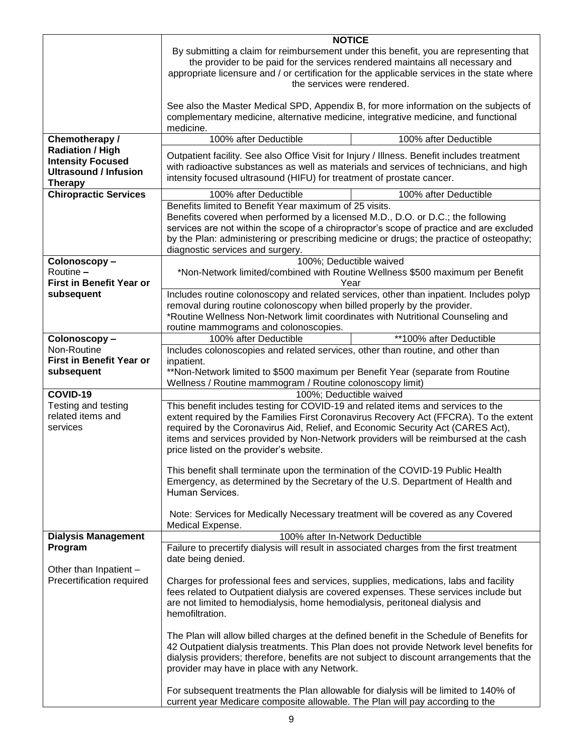| By submitting a claim for reimbursement under this benefit, you are representing that<br>the provider to be paid for the services rendered maintains all necessary and<br>appropriate licensure and / or certification for the applicable services in the state where<br>the services were rendered.<br>See also the Master Medical SPD, Appendix B, for more information on the subjects of<br>complementary medicine, alternative medicine, integrative medicine, and functional<br>medicine.<br>Chemotherapy /<br>100% after Deductible<br>100% after Deductible<br><b>Radiation / High</b><br>Outpatient facility. See also Office Visit for Injury / Illness. Benefit includes treatment<br><b>Intensity Focused</b><br>with radioactive substances as well as materials and services of technicians, and high<br><b>Ultrasound / Infusion</b><br>intensity focused ultrasound (HIFU) for treatment of prostate cancer.<br><b>Therapy</b><br><b>Chiropractic Services</b><br>100% after Deductible<br>100% after Deductible<br>Benefits limited to Benefit Year maximum of 25 visits.<br>Benefits covered when performed by a licensed M.D., D.O. or D.C.; the following<br>services are not within the scope of a chiropractor's scope of practice and are excluded<br>by the Plan: administering or prescribing medicine or drugs; the practice of osteopathy;<br>diagnostic services and surgery.<br>100%; Deductible waived<br>Colonoscopy-<br>Routine -<br>*Non-Network limited/combined with Routine Wellness \$500 maximum per Benefit<br><b>First in Benefit Year or</b><br>Year<br>Includes routine colonoscopy and related services, other than inpatient. Includes polyp<br>subsequent<br>removal during routine colonoscopy when billed properly by the provider.<br>*Routine Wellness Non-Network limit coordinates with Nutritional Counseling and<br>routine mammograms and colonoscopies.<br>100% after Deductible<br>**100% after Deductible<br>Colonoscopy-<br>Includes colonoscopies and related services, other than routine, and other than<br>Non-Routine<br><b>First in Benefit Year or</b><br>inpatient.<br>subsequent<br>**Non-Network limited to \$500 maximum per Benefit Year (separate from Routine<br>Wellness / Routine mammogram / Routine colonoscopy limit)<br>COVID-19<br>100%; Deductible waived<br>This benefit includes testing for COVID-19 and related items and services to the<br>Testing and testing<br>related items and<br>extent required by the Families First Coronavirus Recovery Act (FFCRA). To the extent<br>services<br>required by the Coronavirus Aid, Relief, and Economic Security Act (CARES Act),<br>items and services provided by Non-Network providers will be reimbursed at the cash<br>price listed on the provider's website.<br>This benefit shall terminate upon the termination of the COVID-19 Public Health<br>Emergency, as determined by the Secretary of the U.S. Department of Health and<br>Human Services.<br>Note: Services for Medically Necessary treatment will be covered as any Covered<br>Medical Expense.<br><b>Dialysis Management</b><br>100% after In-Network Deductible<br>Program<br>Failure to precertify dialysis will result in associated charges from the first treatment<br>date being denied.<br>Other than Inpatient -<br>Precertification required<br>Charges for professional fees and services, supplies, medications, labs and facility<br>fees related to Outpatient dialysis are covered expenses. These services include but<br>are not limited to hemodialysis, home hemodialysis, peritoneal dialysis and<br>hemofiltration.<br>The Plan will allow billed charges at the defined benefit in the Schedule of Benefits for<br>42 Outpatient dialysis treatments. This Plan does not provide Network level benefits for<br>dialysis providers; therefore, benefits are not subject to discount arrangements that the<br>provider may have in place with any Network. |  | <b>NOTICE</b>                                                                 |  |  |
|-----------------------------------------------------------------------------------------------------------------------------------------------------------------------------------------------------------------------------------------------------------------------------------------------------------------------------------------------------------------------------------------------------------------------------------------------------------------------------------------------------------------------------------------------------------------------------------------------------------------------------------------------------------------------------------------------------------------------------------------------------------------------------------------------------------------------------------------------------------------------------------------------------------------------------------------------------------------------------------------------------------------------------------------------------------------------------------------------------------------------------------------------------------------------------------------------------------------------------------------------------------------------------------------------------------------------------------------------------------------------------------------------------------------------------------------------------------------------------------------------------------------------------------------------------------------------------------------------------------------------------------------------------------------------------------------------------------------------------------------------------------------------------------------------------------------------------------------------------------------------------------------------------------------------------------------------------------------------------------------------------------------------------------------------------------------------------------------------------------------------------------------------------------------------------------------------------------------------------------------------------------------------------------------------------------------------------------------------------------------------------------------------------------------------------------------------------------------------------------------------------------------------------------------------------------------------------------------------------------------------------------------------------------------------------------------------------------------------------------------------------------------------------------------------------------------------------------------------------------------------------------------------------------------------------------------------------------------------------------------------------------------------------------------------------------------------------------------------------------------------------------------------------------------------------------------------------------------------------------------------------------------------------------------------------------------------------------------------------------------------------------------------------------------------------------------------------------------------------------------------------------------------------------------------------------------------------------------------------------------------------------------------------------------------------------------------------------------------------------------------------------------------------------------------------------------------------------------------------------------------------------------------------------------------------------------------------------------------------------|--|-------------------------------------------------------------------------------|--|--|
|                                                                                                                                                                                                                                                                                                                                                                                                                                                                                                                                                                                                                                                                                                                                                                                                                                                                                                                                                                                                                                                                                                                                                                                                                                                                                                                                                                                                                                                                                                                                                                                                                                                                                                                                                                                                                                                                                                                                                                                                                                                                                                                                                                                                                                                                                                                                                                                                                                                                                                                                                                                                                                                                                                                                                                                                                                                                                                                                                                                                                                                                                                                                                                                                                                                                                                                                                                                                                                                                                                                                                                                                                                                                                                                                                                                                                                                                                                                                                                                   |  |                                                                               |  |  |
|                                                                                                                                                                                                                                                                                                                                                                                                                                                                                                                                                                                                                                                                                                                                                                                                                                                                                                                                                                                                                                                                                                                                                                                                                                                                                                                                                                                                                                                                                                                                                                                                                                                                                                                                                                                                                                                                                                                                                                                                                                                                                                                                                                                                                                                                                                                                                                                                                                                                                                                                                                                                                                                                                                                                                                                                                                                                                                                                                                                                                                                                                                                                                                                                                                                                                                                                                                                                                                                                                                                                                                                                                                                                                                                                                                                                                                                                                                                                                                                   |  |                                                                               |  |  |
|                                                                                                                                                                                                                                                                                                                                                                                                                                                                                                                                                                                                                                                                                                                                                                                                                                                                                                                                                                                                                                                                                                                                                                                                                                                                                                                                                                                                                                                                                                                                                                                                                                                                                                                                                                                                                                                                                                                                                                                                                                                                                                                                                                                                                                                                                                                                                                                                                                                                                                                                                                                                                                                                                                                                                                                                                                                                                                                                                                                                                                                                                                                                                                                                                                                                                                                                                                                                                                                                                                                                                                                                                                                                                                                                                                                                                                                                                                                                                                                   |  |                                                                               |  |  |
|                                                                                                                                                                                                                                                                                                                                                                                                                                                                                                                                                                                                                                                                                                                                                                                                                                                                                                                                                                                                                                                                                                                                                                                                                                                                                                                                                                                                                                                                                                                                                                                                                                                                                                                                                                                                                                                                                                                                                                                                                                                                                                                                                                                                                                                                                                                                                                                                                                                                                                                                                                                                                                                                                                                                                                                                                                                                                                                                                                                                                                                                                                                                                                                                                                                                                                                                                                                                                                                                                                                                                                                                                                                                                                                                                                                                                                                                                                                                                                                   |  |                                                                               |  |  |
|                                                                                                                                                                                                                                                                                                                                                                                                                                                                                                                                                                                                                                                                                                                                                                                                                                                                                                                                                                                                                                                                                                                                                                                                                                                                                                                                                                                                                                                                                                                                                                                                                                                                                                                                                                                                                                                                                                                                                                                                                                                                                                                                                                                                                                                                                                                                                                                                                                                                                                                                                                                                                                                                                                                                                                                                                                                                                                                                                                                                                                                                                                                                                                                                                                                                                                                                                                                                                                                                                                                                                                                                                                                                                                                                                                                                                                                                                                                                                                                   |  |                                                                               |  |  |
|                                                                                                                                                                                                                                                                                                                                                                                                                                                                                                                                                                                                                                                                                                                                                                                                                                                                                                                                                                                                                                                                                                                                                                                                                                                                                                                                                                                                                                                                                                                                                                                                                                                                                                                                                                                                                                                                                                                                                                                                                                                                                                                                                                                                                                                                                                                                                                                                                                                                                                                                                                                                                                                                                                                                                                                                                                                                                                                                                                                                                                                                                                                                                                                                                                                                                                                                                                                                                                                                                                                                                                                                                                                                                                                                                                                                                                                                                                                                                                                   |  |                                                                               |  |  |
|                                                                                                                                                                                                                                                                                                                                                                                                                                                                                                                                                                                                                                                                                                                                                                                                                                                                                                                                                                                                                                                                                                                                                                                                                                                                                                                                                                                                                                                                                                                                                                                                                                                                                                                                                                                                                                                                                                                                                                                                                                                                                                                                                                                                                                                                                                                                                                                                                                                                                                                                                                                                                                                                                                                                                                                                                                                                                                                                                                                                                                                                                                                                                                                                                                                                                                                                                                                                                                                                                                                                                                                                                                                                                                                                                                                                                                                                                                                                                                                   |  |                                                                               |  |  |
|                                                                                                                                                                                                                                                                                                                                                                                                                                                                                                                                                                                                                                                                                                                                                                                                                                                                                                                                                                                                                                                                                                                                                                                                                                                                                                                                                                                                                                                                                                                                                                                                                                                                                                                                                                                                                                                                                                                                                                                                                                                                                                                                                                                                                                                                                                                                                                                                                                                                                                                                                                                                                                                                                                                                                                                                                                                                                                                                                                                                                                                                                                                                                                                                                                                                                                                                                                                                                                                                                                                                                                                                                                                                                                                                                                                                                                                                                                                                                                                   |  |                                                                               |  |  |
|                                                                                                                                                                                                                                                                                                                                                                                                                                                                                                                                                                                                                                                                                                                                                                                                                                                                                                                                                                                                                                                                                                                                                                                                                                                                                                                                                                                                                                                                                                                                                                                                                                                                                                                                                                                                                                                                                                                                                                                                                                                                                                                                                                                                                                                                                                                                                                                                                                                                                                                                                                                                                                                                                                                                                                                                                                                                                                                                                                                                                                                                                                                                                                                                                                                                                                                                                                                                                                                                                                                                                                                                                                                                                                                                                                                                                                                                                                                                                                                   |  |                                                                               |  |  |
|                                                                                                                                                                                                                                                                                                                                                                                                                                                                                                                                                                                                                                                                                                                                                                                                                                                                                                                                                                                                                                                                                                                                                                                                                                                                                                                                                                                                                                                                                                                                                                                                                                                                                                                                                                                                                                                                                                                                                                                                                                                                                                                                                                                                                                                                                                                                                                                                                                                                                                                                                                                                                                                                                                                                                                                                                                                                                                                                                                                                                                                                                                                                                                                                                                                                                                                                                                                                                                                                                                                                                                                                                                                                                                                                                                                                                                                                                                                                                                                   |  |                                                                               |  |  |
|                                                                                                                                                                                                                                                                                                                                                                                                                                                                                                                                                                                                                                                                                                                                                                                                                                                                                                                                                                                                                                                                                                                                                                                                                                                                                                                                                                                                                                                                                                                                                                                                                                                                                                                                                                                                                                                                                                                                                                                                                                                                                                                                                                                                                                                                                                                                                                                                                                                                                                                                                                                                                                                                                                                                                                                                                                                                                                                                                                                                                                                                                                                                                                                                                                                                                                                                                                                                                                                                                                                                                                                                                                                                                                                                                                                                                                                                                                                                                                                   |  |                                                                               |  |  |
|                                                                                                                                                                                                                                                                                                                                                                                                                                                                                                                                                                                                                                                                                                                                                                                                                                                                                                                                                                                                                                                                                                                                                                                                                                                                                                                                                                                                                                                                                                                                                                                                                                                                                                                                                                                                                                                                                                                                                                                                                                                                                                                                                                                                                                                                                                                                                                                                                                                                                                                                                                                                                                                                                                                                                                                                                                                                                                                                                                                                                                                                                                                                                                                                                                                                                                                                                                                                                                                                                                                                                                                                                                                                                                                                                                                                                                                                                                                                                                                   |  |                                                                               |  |  |
|                                                                                                                                                                                                                                                                                                                                                                                                                                                                                                                                                                                                                                                                                                                                                                                                                                                                                                                                                                                                                                                                                                                                                                                                                                                                                                                                                                                                                                                                                                                                                                                                                                                                                                                                                                                                                                                                                                                                                                                                                                                                                                                                                                                                                                                                                                                                                                                                                                                                                                                                                                                                                                                                                                                                                                                                                                                                                                                                                                                                                                                                                                                                                                                                                                                                                                                                                                                                                                                                                                                                                                                                                                                                                                                                                                                                                                                                                                                                                                                   |  |                                                                               |  |  |
|                                                                                                                                                                                                                                                                                                                                                                                                                                                                                                                                                                                                                                                                                                                                                                                                                                                                                                                                                                                                                                                                                                                                                                                                                                                                                                                                                                                                                                                                                                                                                                                                                                                                                                                                                                                                                                                                                                                                                                                                                                                                                                                                                                                                                                                                                                                                                                                                                                                                                                                                                                                                                                                                                                                                                                                                                                                                                                                                                                                                                                                                                                                                                                                                                                                                                                                                                                                                                                                                                                                                                                                                                                                                                                                                                                                                                                                                                                                                                                                   |  |                                                                               |  |  |
|                                                                                                                                                                                                                                                                                                                                                                                                                                                                                                                                                                                                                                                                                                                                                                                                                                                                                                                                                                                                                                                                                                                                                                                                                                                                                                                                                                                                                                                                                                                                                                                                                                                                                                                                                                                                                                                                                                                                                                                                                                                                                                                                                                                                                                                                                                                                                                                                                                                                                                                                                                                                                                                                                                                                                                                                                                                                                                                                                                                                                                                                                                                                                                                                                                                                                                                                                                                                                                                                                                                                                                                                                                                                                                                                                                                                                                                                                                                                                                                   |  |                                                                               |  |  |
|                                                                                                                                                                                                                                                                                                                                                                                                                                                                                                                                                                                                                                                                                                                                                                                                                                                                                                                                                                                                                                                                                                                                                                                                                                                                                                                                                                                                                                                                                                                                                                                                                                                                                                                                                                                                                                                                                                                                                                                                                                                                                                                                                                                                                                                                                                                                                                                                                                                                                                                                                                                                                                                                                                                                                                                                                                                                                                                                                                                                                                                                                                                                                                                                                                                                                                                                                                                                                                                                                                                                                                                                                                                                                                                                                                                                                                                                                                                                                                                   |  |                                                                               |  |  |
|                                                                                                                                                                                                                                                                                                                                                                                                                                                                                                                                                                                                                                                                                                                                                                                                                                                                                                                                                                                                                                                                                                                                                                                                                                                                                                                                                                                                                                                                                                                                                                                                                                                                                                                                                                                                                                                                                                                                                                                                                                                                                                                                                                                                                                                                                                                                                                                                                                                                                                                                                                                                                                                                                                                                                                                                                                                                                                                                                                                                                                                                                                                                                                                                                                                                                                                                                                                                                                                                                                                                                                                                                                                                                                                                                                                                                                                                                                                                                                                   |  |                                                                               |  |  |
|                                                                                                                                                                                                                                                                                                                                                                                                                                                                                                                                                                                                                                                                                                                                                                                                                                                                                                                                                                                                                                                                                                                                                                                                                                                                                                                                                                                                                                                                                                                                                                                                                                                                                                                                                                                                                                                                                                                                                                                                                                                                                                                                                                                                                                                                                                                                                                                                                                                                                                                                                                                                                                                                                                                                                                                                                                                                                                                                                                                                                                                                                                                                                                                                                                                                                                                                                                                                                                                                                                                                                                                                                                                                                                                                                                                                                                                                                                                                                                                   |  |                                                                               |  |  |
|                                                                                                                                                                                                                                                                                                                                                                                                                                                                                                                                                                                                                                                                                                                                                                                                                                                                                                                                                                                                                                                                                                                                                                                                                                                                                                                                                                                                                                                                                                                                                                                                                                                                                                                                                                                                                                                                                                                                                                                                                                                                                                                                                                                                                                                                                                                                                                                                                                                                                                                                                                                                                                                                                                                                                                                                                                                                                                                                                                                                                                                                                                                                                                                                                                                                                                                                                                                                                                                                                                                                                                                                                                                                                                                                                                                                                                                                                                                                                                                   |  |                                                                               |  |  |
|                                                                                                                                                                                                                                                                                                                                                                                                                                                                                                                                                                                                                                                                                                                                                                                                                                                                                                                                                                                                                                                                                                                                                                                                                                                                                                                                                                                                                                                                                                                                                                                                                                                                                                                                                                                                                                                                                                                                                                                                                                                                                                                                                                                                                                                                                                                                                                                                                                                                                                                                                                                                                                                                                                                                                                                                                                                                                                                                                                                                                                                                                                                                                                                                                                                                                                                                                                                                                                                                                                                                                                                                                                                                                                                                                                                                                                                                                                                                                                                   |  |                                                                               |  |  |
|                                                                                                                                                                                                                                                                                                                                                                                                                                                                                                                                                                                                                                                                                                                                                                                                                                                                                                                                                                                                                                                                                                                                                                                                                                                                                                                                                                                                                                                                                                                                                                                                                                                                                                                                                                                                                                                                                                                                                                                                                                                                                                                                                                                                                                                                                                                                                                                                                                                                                                                                                                                                                                                                                                                                                                                                                                                                                                                                                                                                                                                                                                                                                                                                                                                                                                                                                                                                                                                                                                                                                                                                                                                                                                                                                                                                                                                                                                                                                                                   |  |                                                                               |  |  |
|                                                                                                                                                                                                                                                                                                                                                                                                                                                                                                                                                                                                                                                                                                                                                                                                                                                                                                                                                                                                                                                                                                                                                                                                                                                                                                                                                                                                                                                                                                                                                                                                                                                                                                                                                                                                                                                                                                                                                                                                                                                                                                                                                                                                                                                                                                                                                                                                                                                                                                                                                                                                                                                                                                                                                                                                                                                                                                                                                                                                                                                                                                                                                                                                                                                                                                                                                                                                                                                                                                                                                                                                                                                                                                                                                                                                                                                                                                                                                                                   |  |                                                                               |  |  |
|                                                                                                                                                                                                                                                                                                                                                                                                                                                                                                                                                                                                                                                                                                                                                                                                                                                                                                                                                                                                                                                                                                                                                                                                                                                                                                                                                                                                                                                                                                                                                                                                                                                                                                                                                                                                                                                                                                                                                                                                                                                                                                                                                                                                                                                                                                                                                                                                                                                                                                                                                                                                                                                                                                                                                                                                                                                                                                                                                                                                                                                                                                                                                                                                                                                                                                                                                                                                                                                                                                                                                                                                                                                                                                                                                                                                                                                                                                                                                                                   |  |                                                                               |  |  |
|                                                                                                                                                                                                                                                                                                                                                                                                                                                                                                                                                                                                                                                                                                                                                                                                                                                                                                                                                                                                                                                                                                                                                                                                                                                                                                                                                                                                                                                                                                                                                                                                                                                                                                                                                                                                                                                                                                                                                                                                                                                                                                                                                                                                                                                                                                                                                                                                                                                                                                                                                                                                                                                                                                                                                                                                                                                                                                                                                                                                                                                                                                                                                                                                                                                                                                                                                                                                                                                                                                                                                                                                                                                                                                                                                                                                                                                                                                                                                                                   |  |                                                                               |  |  |
|                                                                                                                                                                                                                                                                                                                                                                                                                                                                                                                                                                                                                                                                                                                                                                                                                                                                                                                                                                                                                                                                                                                                                                                                                                                                                                                                                                                                                                                                                                                                                                                                                                                                                                                                                                                                                                                                                                                                                                                                                                                                                                                                                                                                                                                                                                                                                                                                                                                                                                                                                                                                                                                                                                                                                                                                                                                                                                                                                                                                                                                                                                                                                                                                                                                                                                                                                                                                                                                                                                                                                                                                                                                                                                                                                                                                                                                                                                                                                                                   |  |                                                                               |  |  |
|                                                                                                                                                                                                                                                                                                                                                                                                                                                                                                                                                                                                                                                                                                                                                                                                                                                                                                                                                                                                                                                                                                                                                                                                                                                                                                                                                                                                                                                                                                                                                                                                                                                                                                                                                                                                                                                                                                                                                                                                                                                                                                                                                                                                                                                                                                                                                                                                                                                                                                                                                                                                                                                                                                                                                                                                                                                                                                                                                                                                                                                                                                                                                                                                                                                                                                                                                                                                                                                                                                                                                                                                                                                                                                                                                                                                                                                                                                                                                                                   |  |                                                                               |  |  |
|                                                                                                                                                                                                                                                                                                                                                                                                                                                                                                                                                                                                                                                                                                                                                                                                                                                                                                                                                                                                                                                                                                                                                                                                                                                                                                                                                                                                                                                                                                                                                                                                                                                                                                                                                                                                                                                                                                                                                                                                                                                                                                                                                                                                                                                                                                                                                                                                                                                                                                                                                                                                                                                                                                                                                                                                                                                                                                                                                                                                                                                                                                                                                                                                                                                                                                                                                                                                                                                                                                                                                                                                                                                                                                                                                                                                                                                                                                                                                                                   |  |                                                                               |  |  |
|                                                                                                                                                                                                                                                                                                                                                                                                                                                                                                                                                                                                                                                                                                                                                                                                                                                                                                                                                                                                                                                                                                                                                                                                                                                                                                                                                                                                                                                                                                                                                                                                                                                                                                                                                                                                                                                                                                                                                                                                                                                                                                                                                                                                                                                                                                                                                                                                                                                                                                                                                                                                                                                                                                                                                                                                                                                                                                                                                                                                                                                                                                                                                                                                                                                                                                                                                                                                                                                                                                                                                                                                                                                                                                                                                                                                                                                                                                                                                                                   |  |                                                                               |  |  |
|                                                                                                                                                                                                                                                                                                                                                                                                                                                                                                                                                                                                                                                                                                                                                                                                                                                                                                                                                                                                                                                                                                                                                                                                                                                                                                                                                                                                                                                                                                                                                                                                                                                                                                                                                                                                                                                                                                                                                                                                                                                                                                                                                                                                                                                                                                                                                                                                                                                                                                                                                                                                                                                                                                                                                                                                                                                                                                                                                                                                                                                                                                                                                                                                                                                                                                                                                                                                                                                                                                                                                                                                                                                                                                                                                                                                                                                                                                                                                                                   |  |                                                                               |  |  |
|                                                                                                                                                                                                                                                                                                                                                                                                                                                                                                                                                                                                                                                                                                                                                                                                                                                                                                                                                                                                                                                                                                                                                                                                                                                                                                                                                                                                                                                                                                                                                                                                                                                                                                                                                                                                                                                                                                                                                                                                                                                                                                                                                                                                                                                                                                                                                                                                                                                                                                                                                                                                                                                                                                                                                                                                                                                                                                                                                                                                                                                                                                                                                                                                                                                                                                                                                                                                                                                                                                                                                                                                                                                                                                                                                                                                                                                                                                                                                                                   |  |                                                                               |  |  |
|                                                                                                                                                                                                                                                                                                                                                                                                                                                                                                                                                                                                                                                                                                                                                                                                                                                                                                                                                                                                                                                                                                                                                                                                                                                                                                                                                                                                                                                                                                                                                                                                                                                                                                                                                                                                                                                                                                                                                                                                                                                                                                                                                                                                                                                                                                                                                                                                                                                                                                                                                                                                                                                                                                                                                                                                                                                                                                                                                                                                                                                                                                                                                                                                                                                                                                                                                                                                                                                                                                                                                                                                                                                                                                                                                                                                                                                                                                                                                                                   |  |                                                                               |  |  |
|                                                                                                                                                                                                                                                                                                                                                                                                                                                                                                                                                                                                                                                                                                                                                                                                                                                                                                                                                                                                                                                                                                                                                                                                                                                                                                                                                                                                                                                                                                                                                                                                                                                                                                                                                                                                                                                                                                                                                                                                                                                                                                                                                                                                                                                                                                                                                                                                                                                                                                                                                                                                                                                                                                                                                                                                                                                                                                                                                                                                                                                                                                                                                                                                                                                                                                                                                                                                                                                                                                                                                                                                                                                                                                                                                                                                                                                                                                                                                                                   |  |                                                                               |  |  |
|                                                                                                                                                                                                                                                                                                                                                                                                                                                                                                                                                                                                                                                                                                                                                                                                                                                                                                                                                                                                                                                                                                                                                                                                                                                                                                                                                                                                                                                                                                                                                                                                                                                                                                                                                                                                                                                                                                                                                                                                                                                                                                                                                                                                                                                                                                                                                                                                                                                                                                                                                                                                                                                                                                                                                                                                                                                                                                                                                                                                                                                                                                                                                                                                                                                                                                                                                                                                                                                                                                                                                                                                                                                                                                                                                                                                                                                                                                                                                                                   |  |                                                                               |  |  |
|                                                                                                                                                                                                                                                                                                                                                                                                                                                                                                                                                                                                                                                                                                                                                                                                                                                                                                                                                                                                                                                                                                                                                                                                                                                                                                                                                                                                                                                                                                                                                                                                                                                                                                                                                                                                                                                                                                                                                                                                                                                                                                                                                                                                                                                                                                                                                                                                                                                                                                                                                                                                                                                                                                                                                                                                                                                                                                                                                                                                                                                                                                                                                                                                                                                                                                                                                                                                                                                                                                                                                                                                                                                                                                                                                                                                                                                                                                                                                                                   |  |                                                                               |  |  |
|                                                                                                                                                                                                                                                                                                                                                                                                                                                                                                                                                                                                                                                                                                                                                                                                                                                                                                                                                                                                                                                                                                                                                                                                                                                                                                                                                                                                                                                                                                                                                                                                                                                                                                                                                                                                                                                                                                                                                                                                                                                                                                                                                                                                                                                                                                                                                                                                                                                                                                                                                                                                                                                                                                                                                                                                                                                                                                                                                                                                                                                                                                                                                                                                                                                                                                                                                                                                                                                                                                                                                                                                                                                                                                                                                                                                                                                                                                                                                                                   |  |                                                                               |  |  |
|                                                                                                                                                                                                                                                                                                                                                                                                                                                                                                                                                                                                                                                                                                                                                                                                                                                                                                                                                                                                                                                                                                                                                                                                                                                                                                                                                                                                                                                                                                                                                                                                                                                                                                                                                                                                                                                                                                                                                                                                                                                                                                                                                                                                                                                                                                                                                                                                                                                                                                                                                                                                                                                                                                                                                                                                                                                                                                                                                                                                                                                                                                                                                                                                                                                                                                                                                                                                                                                                                                                                                                                                                                                                                                                                                                                                                                                                                                                                                                                   |  |                                                                               |  |  |
|                                                                                                                                                                                                                                                                                                                                                                                                                                                                                                                                                                                                                                                                                                                                                                                                                                                                                                                                                                                                                                                                                                                                                                                                                                                                                                                                                                                                                                                                                                                                                                                                                                                                                                                                                                                                                                                                                                                                                                                                                                                                                                                                                                                                                                                                                                                                                                                                                                                                                                                                                                                                                                                                                                                                                                                                                                                                                                                                                                                                                                                                                                                                                                                                                                                                                                                                                                                                                                                                                                                                                                                                                                                                                                                                                                                                                                                                                                                                                                                   |  |                                                                               |  |  |
|                                                                                                                                                                                                                                                                                                                                                                                                                                                                                                                                                                                                                                                                                                                                                                                                                                                                                                                                                                                                                                                                                                                                                                                                                                                                                                                                                                                                                                                                                                                                                                                                                                                                                                                                                                                                                                                                                                                                                                                                                                                                                                                                                                                                                                                                                                                                                                                                                                                                                                                                                                                                                                                                                                                                                                                                                                                                                                                                                                                                                                                                                                                                                                                                                                                                                                                                                                                                                                                                                                                                                                                                                                                                                                                                                                                                                                                                                                                                                                                   |  |                                                                               |  |  |
|                                                                                                                                                                                                                                                                                                                                                                                                                                                                                                                                                                                                                                                                                                                                                                                                                                                                                                                                                                                                                                                                                                                                                                                                                                                                                                                                                                                                                                                                                                                                                                                                                                                                                                                                                                                                                                                                                                                                                                                                                                                                                                                                                                                                                                                                                                                                                                                                                                                                                                                                                                                                                                                                                                                                                                                                                                                                                                                                                                                                                                                                                                                                                                                                                                                                                                                                                                                                                                                                                                                                                                                                                                                                                                                                                                                                                                                                                                                                                                                   |  |                                                                               |  |  |
|                                                                                                                                                                                                                                                                                                                                                                                                                                                                                                                                                                                                                                                                                                                                                                                                                                                                                                                                                                                                                                                                                                                                                                                                                                                                                                                                                                                                                                                                                                                                                                                                                                                                                                                                                                                                                                                                                                                                                                                                                                                                                                                                                                                                                                                                                                                                                                                                                                                                                                                                                                                                                                                                                                                                                                                                                                                                                                                                                                                                                                                                                                                                                                                                                                                                                                                                                                                                                                                                                                                                                                                                                                                                                                                                                                                                                                                                                                                                                                                   |  |                                                                               |  |  |
|                                                                                                                                                                                                                                                                                                                                                                                                                                                                                                                                                                                                                                                                                                                                                                                                                                                                                                                                                                                                                                                                                                                                                                                                                                                                                                                                                                                                                                                                                                                                                                                                                                                                                                                                                                                                                                                                                                                                                                                                                                                                                                                                                                                                                                                                                                                                                                                                                                                                                                                                                                                                                                                                                                                                                                                                                                                                                                                                                                                                                                                                                                                                                                                                                                                                                                                                                                                                                                                                                                                                                                                                                                                                                                                                                                                                                                                                                                                                                                                   |  |                                                                               |  |  |
|                                                                                                                                                                                                                                                                                                                                                                                                                                                                                                                                                                                                                                                                                                                                                                                                                                                                                                                                                                                                                                                                                                                                                                                                                                                                                                                                                                                                                                                                                                                                                                                                                                                                                                                                                                                                                                                                                                                                                                                                                                                                                                                                                                                                                                                                                                                                                                                                                                                                                                                                                                                                                                                                                                                                                                                                                                                                                                                                                                                                                                                                                                                                                                                                                                                                                                                                                                                                                                                                                                                                                                                                                                                                                                                                                                                                                                                                                                                                                                                   |  |                                                                               |  |  |
|                                                                                                                                                                                                                                                                                                                                                                                                                                                                                                                                                                                                                                                                                                                                                                                                                                                                                                                                                                                                                                                                                                                                                                                                                                                                                                                                                                                                                                                                                                                                                                                                                                                                                                                                                                                                                                                                                                                                                                                                                                                                                                                                                                                                                                                                                                                                                                                                                                                                                                                                                                                                                                                                                                                                                                                                                                                                                                                                                                                                                                                                                                                                                                                                                                                                                                                                                                                                                                                                                                                                                                                                                                                                                                                                                                                                                                                                                                                                                                                   |  |                                                                               |  |  |
|                                                                                                                                                                                                                                                                                                                                                                                                                                                                                                                                                                                                                                                                                                                                                                                                                                                                                                                                                                                                                                                                                                                                                                                                                                                                                                                                                                                                                                                                                                                                                                                                                                                                                                                                                                                                                                                                                                                                                                                                                                                                                                                                                                                                                                                                                                                                                                                                                                                                                                                                                                                                                                                                                                                                                                                                                                                                                                                                                                                                                                                                                                                                                                                                                                                                                                                                                                                                                                                                                                                                                                                                                                                                                                                                                                                                                                                                                                                                                                                   |  |                                                                               |  |  |
|                                                                                                                                                                                                                                                                                                                                                                                                                                                                                                                                                                                                                                                                                                                                                                                                                                                                                                                                                                                                                                                                                                                                                                                                                                                                                                                                                                                                                                                                                                                                                                                                                                                                                                                                                                                                                                                                                                                                                                                                                                                                                                                                                                                                                                                                                                                                                                                                                                                                                                                                                                                                                                                                                                                                                                                                                                                                                                                                                                                                                                                                                                                                                                                                                                                                                                                                                                                                                                                                                                                                                                                                                                                                                                                                                                                                                                                                                                                                                                                   |  |                                                                               |  |  |
|                                                                                                                                                                                                                                                                                                                                                                                                                                                                                                                                                                                                                                                                                                                                                                                                                                                                                                                                                                                                                                                                                                                                                                                                                                                                                                                                                                                                                                                                                                                                                                                                                                                                                                                                                                                                                                                                                                                                                                                                                                                                                                                                                                                                                                                                                                                                                                                                                                                                                                                                                                                                                                                                                                                                                                                                                                                                                                                                                                                                                                                                                                                                                                                                                                                                                                                                                                                                                                                                                                                                                                                                                                                                                                                                                                                                                                                                                                                                                                                   |  |                                                                               |  |  |
|                                                                                                                                                                                                                                                                                                                                                                                                                                                                                                                                                                                                                                                                                                                                                                                                                                                                                                                                                                                                                                                                                                                                                                                                                                                                                                                                                                                                                                                                                                                                                                                                                                                                                                                                                                                                                                                                                                                                                                                                                                                                                                                                                                                                                                                                                                                                                                                                                                                                                                                                                                                                                                                                                                                                                                                                                                                                                                                                                                                                                                                                                                                                                                                                                                                                                                                                                                                                                                                                                                                                                                                                                                                                                                                                                                                                                                                                                                                                                                                   |  |                                                                               |  |  |
|                                                                                                                                                                                                                                                                                                                                                                                                                                                                                                                                                                                                                                                                                                                                                                                                                                                                                                                                                                                                                                                                                                                                                                                                                                                                                                                                                                                                                                                                                                                                                                                                                                                                                                                                                                                                                                                                                                                                                                                                                                                                                                                                                                                                                                                                                                                                                                                                                                                                                                                                                                                                                                                                                                                                                                                                                                                                                                                                                                                                                                                                                                                                                                                                                                                                                                                                                                                                                                                                                                                                                                                                                                                                                                                                                                                                                                                                                                                                                                                   |  |                                                                               |  |  |
|                                                                                                                                                                                                                                                                                                                                                                                                                                                                                                                                                                                                                                                                                                                                                                                                                                                                                                                                                                                                                                                                                                                                                                                                                                                                                                                                                                                                                                                                                                                                                                                                                                                                                                                                                                                                                                                                                                                                                                                                                                                                                                                                                                                                                                                                                                                                                                                                                                                                                                                                                                                                                                                                                                                                                                                                                                                                                                                                                                                                                                                                                                                                                                                                                                                                                                                                                                                                                                                                                                                                                                                                                                                                                                                                                                                                                                                                                                                                                                                   |  |                                                                               |  |  |
|                                                                                                                                                                                                                                                                                                                                                                                                                                                                                                                                                                                                                                                                                                                                                                                                                                                                                                                                                                                                                                                                                                                                                                                                                                                                                                                                                                                                                                                                                                                                                                                                                                                                                                                                                                                                                                                                                                                                                                                                                                                                                                                                                                                                                                                                                                                                                                                                                                                                                                                                                                                                                                                                                                                                                                                                                                                                                                                                                                                                                                                                                                                                                                                                                                                                                                                                                                                                                                                                                                                                                                                                                                                                                                                                                                                                                                                                                                                                                                                   |  |                                                                               |  |  |
|                                                                                                                                                                                                                                                                                                                                                                                                                                                                                                                                                                                                                                                                                                                                                                                                                                                                                                                                                                                                                                                                                                                                                                                                                                                                                                                                                                                                                                                                                                                                                                                                                                                                                                                                                                                                                                                                                                                                                                                                                                                                                                                                                                                                                                                                                                                                                                                                                                                                                                                                                                                                                                                                                                                                                                                                                                                                                                                                                                                                                                                                                                                                                                                                                                                                                                                                                                                                                                                                                                                                                                                                                                                                                                                                                                                                                                                                                                                                                                                   |  |                                                                               |  |  |
|                                                                                                                                                                                                                                                                                                                                                                                                                                                                                                                                                                                                                                                                                                                                                                                                                                                                                                                                                                                                                                                                                                                                                                                                                                                                                                                                                                                                                                                                                                                                                                                                                                                                                                                                                                                                                                                                                                                                                                                                                                                                                                                                                                                                                                                                                                                                                                                                                                                                                                                                                                                                                                                                                                                                                                                                                                                                                                                                                                                                                                                                                                                                                                                                                                                                                                                                                                                                                                                                                                                                                                                                                                                                                                                                                                                                                                                                                                                                                                                   |  |                                                                               |  |  |
|                                                                                                                                                                                                                                                                                                                                                                                                                                                                                                                                                                                                                                                                                                                                                                                                                                                                                                                                                                                                                                                                                                                                                                                                                                                                                                                                                                                                                                                                                                                                                                                                                                                                                                                                                                                                                                                                                                                                                                                                                                                                                                                                                                                                                                                                                                                                                                                                                                                                                                                                                                                                                                                                                                                                                                                                                                                                                                                                                                                                                                                                                                                                                                                                                                                                                                                                                                                                                                                                                                                                                                                                                                                                                                                                                                                                                                                                                                                                                                                   |  |                                                                               |  |  |
|                                                                                                                                                                                                                                                                                                                                                                                                                                                                                                                                                                                                                                                                                                                                                                                                                                                                                                                                                                                                                                                                                                                                                                                                                                                                                                                                                                                                                                                                                                                                                                                                                                                                                                                                                                                                                                                                                                                                                                                                                                                                                                                                                                                                                                                                                                                                                                                                                                                                                                                                                                                                                                                                                                                                                                                                                                                                                                                                                                                                                                                                                                                                                                                                                                                                                                                                                                                                                                                                                                                                                                                                                                                                                                                                                                                                                                                                                                                                                                                   |  |                                                                               |  |  |
|                                                                                                                                                                                                                                                                                                                                                                                                                                                                                                                                                                                                                                                                                                                                                                                                                                                                                                                                                                                                                                                                                                                                                                                                                                                                                                                                                                                                                                                                                                                                                                                                                                                                                                                                                                                                                                                                                                                                                                                                                                                                                                                                                                                                                                                                                                                                                                                                                                                                                                                                                                                                                                                                                                                                                                                                                                                                                                                                                                                                                                                                                                                                                                                                                                                                                                                                                                                                                                                                                                                                                                                                                                                                                                                                                                                                                                                                                                                                                                                   |  |                                                                               |  |  |
|                                                                                                                                                                                                                                                                                                                                                                                                                                                                                                                                                                                                                                                                                                                                                                                                                                                                                                                                                                                                                                                                                                                                                                                                                                                                                                                                                                                                                                                                                                                                                                                                                                                                                                                                                                                                                                                                                                                                                                                                                                                                                                                                                                                                                                                                                                                                                                                                                                                                                                                                                                                                                                                                                                                                                                                                                                                                                                                                                                                                                                                                                                                                                                                                                                                                                                                                                                                                                                                                                                                                                                                                                                                                                                                                                                                                                                                                                                                                                                                   |  |                                                                               |  |  |
|                                                                                                                                                                                                                                                                                                                                                                                                                                                                                                                                                                                                                                                                                                                                                                                                                                                                                                                                                                                                                                                                                                                                                                                                                                                                                                                                                                                                                                                                                                                                                                                                                                                                                                                                                                                                                                                                                                                                                                                                                                                                                                                                                                                                                                                                                                                                                                                                                                                                                                                                                                                                                                                                                                                                                                                                                                                                                                                                                                                                                                                                                                                                                                                                                                                                                                                                                                                                                                                                                                                                                                                                                                                                                                                                                                                                                                                                                                                                                                                   |  |                                                                               |  |  |
|                                                                                                                                                                                                                                                                                                                                                                                                                                                                                                                                                                                                                                                                                                                                                                                                                                                                                                                                                                                                                                                                                                                                                                                                                                                                                                                                                                                                                                                                                                                                                                                                                                                                                                                                                                                                                                                                                                                                                                                                                                                                                                                                                                                                                                                                                                                                                                                                                                                                                                                                                                                                                                                                                                                                                                                                                                                                                                                                                                                                                                                                                                                                                                                                                                                                                                                                                                                                                                                                                                                                                                                                                                                                                                                                                                                                                                                                                                                                                                                   |  |                                                                               |  |  |
|                                                                                                                                                                                                                                                                                                                                                                                                                                                                                                                                                                                                                                                                                                                                                                                                                                                                                                                                                                                                                                                                                                                                                                                                                                                                                                                                                                                                                                                                                                                                                                                                                                                                                                                                                                                                                                                                                                                                                                                                                                                                                                                                                                                                                                                                                                                                                                                                                                                                                                                                                                                                                                                                                                                                                                                                                                                                                                                                                                                                                                                                                                                                                                                                                                                                                                                                                                                                                                                                                                                                                                                                                                                                                                                                                                                                                                                                                                                                                                                   |  |                                                                               |  |  |
| For subsequent treatments the Plan allowable for dialysis will be limited to 140% of                                                                                                                                                                                                                                                                                                                                                                                                                                                                                                                                                                                                                                                                                                                                                                                                                                                                                                                                                                                                                                                                                                                                                                                                                                                                                                                                                                                                                                                                                                                                                                                                                                                                                                                                                                                                                                                                                                                                                                                                                                                                                                                                                                                                                                                                                                                                                                                                                                                                                                                                                                                                                                                                                                                                                                                                                                                                                                                                                                                                                                                                                                                                                                                                                                                                                                                                                                                                                                                                                                                                                                                                                                                                                                                                                                                                                                                                                              |  |                                                                               |  |  |
|                                                                                                                                                                                                                                                                                                                                                                                                                                                                                                                                                                                                                                                                                                                                                                                                                                                                                                                                                                                                                                                                                                                                                                                                                                                                                                                                                                                                                                                                                                                                                                                                                                                                                                                                                                                                                                                                                                                                                                                                                                                                                                                                                                                                                                                                                                                                                                                                                                                                                                                                                                                                                                                                                                                                                                                                                                                                                                                                                                                                                                                                                                                                                                                                                                                                                                                                                                                                                                                                                                                                                                                                                                                                                                                                                                                                                                                                                                                                                                                   |  |                                                                               |  |  |
|                                                                                                                                                                                                                                                                                                                                                                                                                                                                                                                                                                                                                                                                                                                                                                                                                                                                                                                                                                                                                                                                                                                                                                                                                                                                                                                                                                                                                                                                                                                                                                                                                                                                                                                                                                                                                                                                                                                                                                                                                                                                                                                                                                                                                                                                                                                                                                                                                                                                                                                                                                                                                                                                                                                                                                                                                                                                                                                                                                                                                                                                                                                                                                                                                                                                                                                                                                                                                                                                                                                                                                                                                                                                                                                                                                                                                                                                                                                                                                                   |  | current year Medicare composite allowable. The Plan will pay according to the |  |  |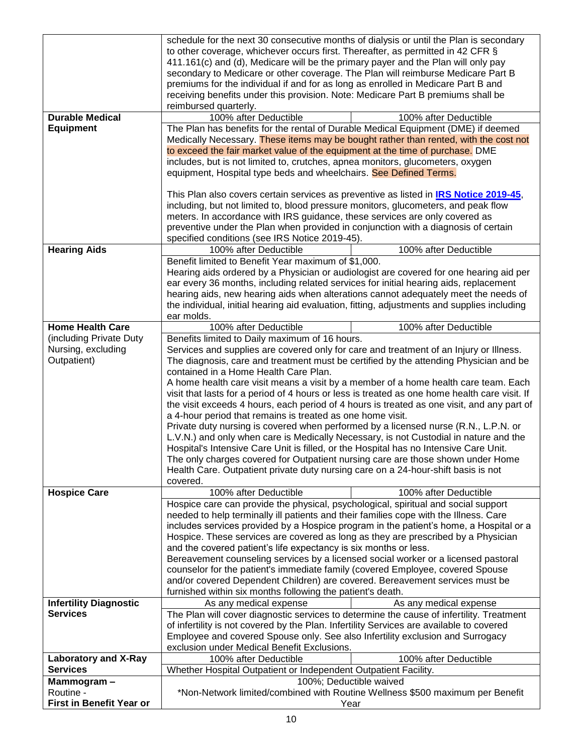|                               | schedule for the next 30 consecutive months of dialysis or until the Plan is secondary        |                        |  |
|-------------------------------|-----------------------------------------------------------------------------------------------|------------------------|--|
|                               | to other coverage, whichever occurs first. Thereafter, as permitted in 42 CFR §               |                        |  |
|                               | 411.161(c) and (d), Medicare will be the primary payer and the Plan will only pay             |                        |  |
|                               | secondary to Medicare or other coverage. The Plan will reimburse Medicare Part B              |                        |  |
|                               | premiums for the individual if and for as long as enrolled in Medicare Part B and             |                        |  |
|                               | receiving benefits under this provision. Note: Medicare Part B premiums shall be              |                        |  |
|                               | reimbursed quarterly.                                                                         |                        |  |
| <b>Durable Medical</b>        | 100% after Deductible                                                                         | 100% after Deductible  |  |
| <b>Equipment</b>              | The Plan has benefits for the rental of Durable Medical Equipment (DME) if deemed             |                        |  |
|                               | Medically Necessary. These items may be bought rather than rented, with the cost not          |                        |  |
|                               | to exceed the fair market value of the equipment at the time of purchase. DME                 |                        |  |
|                               | includes, but is not limited to, crutches, apnea monitors, glucometers, oxygen                |                        |  |
|                               | equipment, Hospital type beds and wheelchairs. See Defined Terms.                             |                        |  |
|                               |                                                                                               |                        |  |
|                               | This Plan also covers certain services as preventive as listed in <b>IRS Notice 2019-45</b> , |                        |  |
|                               | including, but not limited to, blood pressure monitors, glucometers, and peak flow            |                        |  |
|                               | meters. In accordance with IRS guidance, these services are only covered as                   |                        |  |
|                               | preventive under the Plan when provided in conjunction with a diagnosis of certain            |                        |  |
|                               | specified conditions (see IRS Notice 2019-45).                                                |                        |  |
| <b>Hearing Aids</b>           | 100% after Deductible                                                                         | 100% after Deductible  |  |
|                               | Benefit limited to Benefit Year maximum of \$1,000.                                           |                        |  |
|                               | Hearing aids ordered by a Physician or audiologist are covered for one hearing aid per        |                        |  |
|                               | ear every 36 months, including related services for initial hearing aids, replacement         |                        |  |
|                               | hearing aids, new hearing aids when alterations cannot adequately meet the needs of           |                        |  |
|                               | the individual, initial hearing aid evaluation, fitting, adjustments and supplies including   |                        |  |
|                               | ear molds.                                                                                    |                        |  |
| <b>Home Health Care</b>       | 100% after Deductible                                                                         | 100% after Deductible  |  |
| (including Private Duty       | Benefits limited to Daily maximum of 16 hours.                                                |                        |  |
| Nursing, excluding            | Services and supplies are covered only for care and treatment of an Injury or Illness.        |                        |  |
| Outpatient)                   | The diagnosis, care and treatment must be certified by the attending Physician and be         |                        |  |
|                               | contained in a Home Health Care Plan.                                                         |                        |  |
|                               | A home health care visit means a visit by a member of a home health care team. Each           |                        |  |
|                               | visit that lasts for a period of 4 hours or less is treated as one home health care visit. If |                        |  |
|                               | the visit exceeds 4 hours, each period of 4 hours is treated as one visit, and any part of    |                        |  |
|                               | a 4-hour period that remains is treated as one home visit.                                    |                        |  |
|                               | Private duty nursing is covered when performed by a licensed nurse (R.N., L.P.N. or           |                        |  |
|                               | L.V.N.) and only when care is Medically Necessary, is not Custodial in nature and the         |                        |  |
|                               | Hospital's Intensive Care Unit is filled, or the Hospital has no Intensive Care Unit.         |                        |  |
|                               | The only charges covered for Outpatient nursing care are those shown under Home               |                        |  |
|                               | Health Care. Outpatient private duty nursing care on a 24-hour-shift basis is not             |                        |  |
|                               | covered.                                                                                      |                        |  |
| <b>Hospice Care</b>           | 100% after Deductible                                                                         | 100% after Deductible  |  |
|                               | Hospice care can provide the physical, psychological, spiritual and social support            |                        |  |
|                               | needed to help terminally ill patients and their families cope with the Illness. Care         |                        |  |
|                               | includes services provided by a Hospice program in the patient's home, a Hospital or a        |                        |  |
|                               | Hospice. These services are covered as long as they are prescribed by a Physician             |                        |  |
|                               | and the covered patient's life expectancy is six months or less.                              |                        |  |
|                               | Bereavement counseling services by a licensed social worker or a licensed pastoral            |                        |  |
|                               | counselor for the patient's immediate family (covered Employee, covered Spouse                |                        |  |
|                               | and/or covered Dependent Children) are covered. Bereavement services must be                  |                        |  |
|                               | furnished within six months following the patient's death.                                    |                        |  |
| <b>Infertility Diagnostic</b> | As any medical expense                                                                        | As any medical expense |  |
| <b>Services</b>               | The Plan will cover diagnostic services to determine the cause of infertility. Treatment      |                        |  |
|                               | of infertility is not covered by the Plan. Infertility Services are available to covered      |                        |  |
|                               | Employee and covered Spouse only. See also Infertility exclusion and Surrogacy                |                        |  |
|                               | exclusion under Medical Benefit Exclusions.                                                   |                        |  |
| <b>Laboratory and X-Ray</b>   | 100% after Deductible                                                                         | 100% after Deductible  |  |
| <b>Services</b>               | Whether Hospital Outpatient or Independent Outpatient Facility.                               |                        |  |
| Mammogram-                    | 100%; Deductible waived                                                                       |                        |  |
| Routine -                     | *Non-Network limited/combined with Routine Wellness \$500 maximum per Benefit                 |                        |  |
| First in Benefit Year or      | Year                                                                                          |                        |  |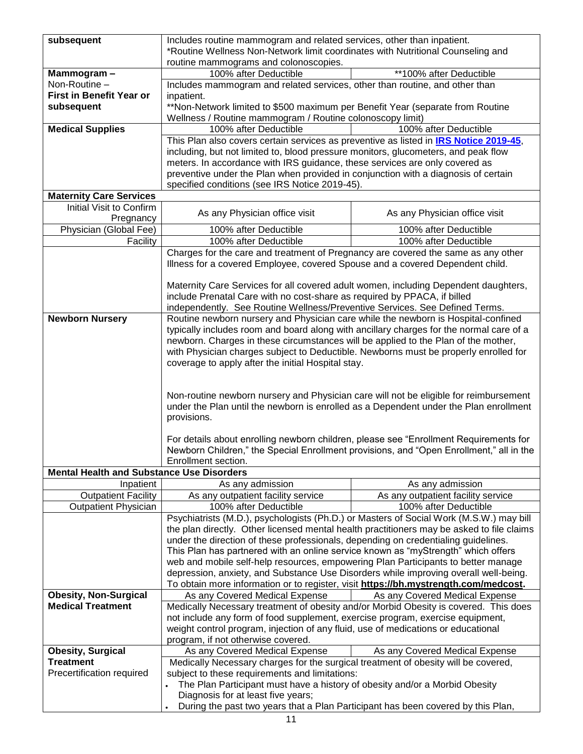| subsequent                                                                               | Includes routine mammogram and related services, other than inpatient.                                                                                                                                                                                      |                                    |  |
|------------------------------------------------------------------------------------------|-------------------------------------------------------------------------------------------------------------------------------------------------------------------------------------------------------------------------------------------------------------|------------------------------------|--|
|                                                                                          | *Routine Wellness Non-Network limit coordinates with Nutritional Counseling and<br>routine mammograms and colonoscopies.                                                                                                                                    |                                    |  |
| Mammogram-                                                                               | 100% after Deductible<br>**100% after Deductible                                                                                                                                                                                                            |                                    |  |
| Non-Routine -                                                                            | Includes mammogram and related services, other than routine, and other than                                                                                                                                                                                 |                                    |  |
| First in Benefit Year or                                                                 | inpatient.                                                                                                                                                                                                                                                  |                                    |  |
| subsequent                                                                               | **Non-Network limited to \$500 maximum per Benefit Year (separate from Routine                                                                                                                                                                              |                                    |  |
|                                                                                          | Wellness / Routine mammogram / Routine colonoscopy limit)                                                                                                                                                                                                   |                                    |  |
| <b>Medical Supplies</b>                                                                  | 100% after Deductible                                                                                                                                                                                                                                       | 100% after Deductible              |  |
|                                                                                          | This Plan also covers certain services as preventive as listed in <b>IRS Notice 2019-45</b> ,                                                                                                                                                               |                                    |  |
|                                                                                          | including, but not limited to, blood pressure monitors, glucometers, and peak flow<br>meters. In accordance with IRS guidance, these services are only covered as                                                                                           |                                    |  |
|                                                                                          | preventive under the Plan when provided in conjunction with a diagnosis of certain                                                                                                                                                                          |                                    |  |
|                                                                                          | specified conditions (see IRS Notice 2019-45).                                                                                                                                                                                                              |                                    |  |
| <b>Maternity Care Services</b>                                                           |                                                                                                                                                                                                                                                             |                                    |  |
| Initial Visit to Confirm                                                                 |                                                                                                                                                                                                                                                             |                                    |  |
| Pregnancy                                                                                | As any Physician office visit                                                                                                                                                                                                                               | As any Physician office visit      |  |
| Physician (Global Fee)                                                                   | 100% after Deductible                                                                                                                                                                                                                                       | 100% after Deductible              |  |
| Facility                                                                                 | 100% after Deductible                                                                                                                                                                                                                                       | 100% after Deductible              |  |
|                                                                                          | Charges for the care and treatment of Pregnancy are covered the same as any other                                                                                                                                                                           |                                    |  |
|                                                                                          | Illness for a covered Employee, covered Spouse and a covered Dependent child.                                                                                                                                                                               |                                    |  |
|                                                                                          |                                                                                                                                                                                                                                                             |                                    |  |
|                                                                                          | Maternity Care Services for all covered adult women, including Dependent daughters,<br>include Prenatal Care with no cost-share as required by PPACA, if billed                                                                                             |                                    |  |
|                                                                                          | independently. See Routine Wellness/Preventive Services. See Defined Terms.                                                                                                                                                                                 |                                    |  |
| <b>Newborn Nursery</b>                                                                   | Routine newborn nursery and Physician care while the newborn is Hospital-confined                                                                                                                                                                           |                                    |  |
|                                                                                          | typically includes room and board along with ancillary charges for the normal care of a                                                                                                                                                                     |                                    |  |
|                                                                                          | newborn. Charges in these circumstances will be applied to the Plan of the mother,                                                                                                                                                                          |                                    |  |
|                                                                                          | with Physician charges subject to Deductible. Newborns must be properly enrolled for                                                                                                                                                                        |                                    |  |
|                                                                                          | coverage to apply after the initial Hospital stay.                                                                                                                                                                                                          |                                    |  |
|                                                                                          |                                                                                                                                                                                                                                                             |                                    |  |
|                                                                                          |                                                                                                                                                                                                                                                             |                                    |  |
|                                                                                          | Non-routine newborn nursery and Physician care will not be eligible for reimbursement<br>under the Plan until the newborn is enrolled as a Dependent under the Plan enrollment                                                                              |                                    |  |
|                                                                                          | provisions.                                                                                                                                                                                                                                                 |                                    |  |
|                                                                                          |                                                                                                                                                                                                                                                             |                                    |  |
|                                                                                          | For details about enrolling newborn children, please see "Enrollment Requirements for                                                                                                                                                                       |                                    |  |
|                                                                                          | Newborn Children," the Special Enrollment provisions, and "Open Enrollment," all in the                                                                                                                                                                     |                                    |  |
|                                                                                          | Enrollment section.                                                                                                                                                                                                                                         |                                    |  |
| <b>Mental Health and Substance Use Disorders</b>                                         |                                                                                                                                                                                                                                                             |                                    |  |
| Inpatient                                                                                | As any admission                                                                                                                                                                                                                                            | As any admission                   |  |
| <b>Outpatient Facility</b>                                                               | As any outpatient facility service                                                                                                                                                                                                                          | As any outpatient facility service |  |
| <b>Outpatient Physician</b>                                                              | 100% after Deductible<br>Psychiatrists (M.D.), psychologists (Ph.D.) or Masters of Social Work (M.S.W.) may bill                                                                                                                                            | 100% after Deductible              |  |
|                                                                                          | the plan directly. Other licensed mental health practitioners may be asked to file claims                                                                                                                                                                   |                                    |  |
|                                                                                          | under the direction of these professionals, depending on credentialing guidelines.                                                                                                                                                                          |                                    |  |
|                                                                                          | This Plan has partnered with an online service known as "myStrength" which offers                                                                                                                                                                           |                                    |  |
|                                                                                          | web and mobile self-help resources, empowering Plan Participants to better manage                                                                                                                                                                           |                                    |  |
|                                                                                          | depression, anxiety, and Substance Use Disorders while improving overall well-being.                                                                                                                                                                        |                                    |  |
|                                                                                          | To obtain more information or to register, visit https://bh.mystrength.com/medcost.                                                                                                                                                                         |                                    |  |
| <b>Obesity, Non-Surgical</b>                                                             | As any Covered Medical Expense                                                                                                                                                                                                                              | As any Covered Medical Expense     |  |
| <b>Medical Treatment</b>                                                                 | Medically Necessary treatment of obesity and/or Morbid Obesity is covered. This does<br>not include any form of food supplement, exercise program, exercise equipment,<br>weight control program, injection of any fluid, use of medications or educational |                                    |  |
|                                                                                          |                                                                                                                                                                                                                                                             |                                    |  |
|                                                                                          | program, if not otherwise covered.                                                                                                                                                                                                                          |                                    |  |
| <b>Obesity, Surgical</b>                                                                 | As any Covered Medical Expense                                                                                                                                                                                                                              | As any Covered Medical Expense     |  |
| <b>Treatment</b>                                                                         | Medically Necessary charges for the surgical treatment of obesity will be covered,                                                                                                                                                                          |                                    |  |
| Precertification required                                                                | subject to these requirements and limitations:                                                                                                                                                                                                              |                                    |  |
| The Plan Participant must have a history of obesity and/or a Morbid Obesity<br>$\bullet$ |                                                                                                                                                                                                                                                             |                                    |  |
|                                                                                          | Diagnosis for at least five years;                                                                                                                                                                                                                          |                                    |  |
|                                                                                          | During the past two years that a Plan Participant has been covered by this Plan,                                                                                                                                                                            |                                    |  |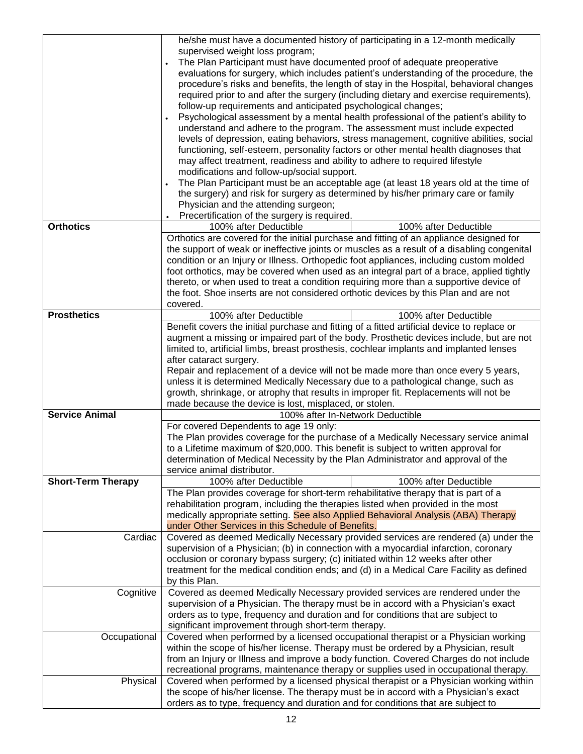|                           | he/she must have a documented history of participating in a 12-month medically<br>supervised weight loss program;<br>The Plan Participant must have documented proof of adequate preoperative<br>evaluations for surgery, which includes patient's understanding of the procedure, the<br>procedure's risks and benefits, the length of stay in the Hospital, behavioral changes<br>required prior to and after the surgery (including dietary and exercise requirements),<br>follow-up requirements and anticipated psychological changes;<br>Psychological assessment by a mental health professional of the patient's ability to |  |
|---------------------------|-------------------------------------------------------------------------------------------------------------------------------------------------------------------------------------------------------------------------------------------------------------------------------------------------------------------------------------------------------------------------------------------------------------------------------------------------------------------------------------------------------------------------------------------------------------------------------------------------------------------------------------|--|
|                           | understand and adhere to the program. The assessment must include expected<br>levels of depression, eating behaviors, stress management, cognitive abilities, social<br>functioning, self-esteem, personality factors or other mental health diagnoses that<br>may affect treatment, readiness and ability to adhere to required lifestyle<br>modifications and follow-up/social support.                                                                                                                                                                                                                                           |  |
|                           | The Plan Participant must be an acceptable age (at least 18 years old at the time of<br>the surgery) and risk for surgery as determined by his/her primary care or family<br>Physician and the attending surgeon;<br>Precertification of the surgery is required.                                                                                                                                                                                                                                                                                                                                                                   |  |
| <b>Orthotics</b>          | 100% after Deductible<br>100% after Deductible                                                                                                                                                                                                                                                                                                                                                                                                                                                                                                                                                                                      |  |
|                           | Orthotics are covered for the initial purchase and fitting of an appliance designed for<br>the support of weak or ineffective joints or muscles as a result of a disabling congenital<br>condition or an Injury or Illness. Orthopedic foot appliances, including custom molded<br>foot orthotics, may be covered when used as an integral part of a brace, applied tightly<br>thereto, or when used to treat a condition requiring more than a supportive device of<br>the foot. Shoe inserts are not considered orthotic devices by this Plan and are not<br>covered.                                                             |  |
| <b>Prosthetics</b>        | 100% after Deductible<br>100% after Deductible                                                                                                                                                                                                                                                                                                                                                                                                                                                                                                                                                                                      |  |
|                           | Benefit covers the initial purchase and fitting of a fitted artificial device to replace or<br>augment a missing or impaired part of the body. Prosthetic devices include, but are not<br>limited to, artificial limbs, breast prosthesis, cochlear implants and implanted lenses<br>after cataract surgery.<br>Repair and replacement of a device will not be made more than once every 5 years,<br>unless it is determined Medically Necessary due to a pathological change, such as<br>growth, shrinkage, or atrophy that results in improper fit. Replacements will not be                                                      |  |
|                           | made because the device is lost, misplaced, or stolen.                                                                                                                                                                                                                                                                                                                                                                                                                                                                                                                                                                              |  |
| <b>Service Animal</b>     | 100% after In-Network Deductible                                                                                                                                                                                                                                                                                                                                                                                                                                                                                                                                                                                                    |  |
|                           | For covered Dependents to age 19 only:<br>The Plan provides coverage for the purchase of a Medically Necessary service animal<br>to a Lifetime maximum of \$20,000. This benefit is subject to written approval for<br>determination of Medical Necessity by the Plan Administrator and approval of the<br>service animal distributor.                                                                                                                                                                                                                                                                                              |  |
| <b>Short-Term Therapy</b> | 100% after Deductible<br>100% after Deductible                                                                                                                                                                                                                                                                                                                                                                                                                                                                                                                                                                                      |  |
|                           | The Plan provides coverage for short-term rehabilitative therapy that is part of a<br>rehabilitation program, including the therapies listed when provided in the most<br>medically appropriate setting. See also Applied Behavioral Analysis (ABA) Therapy<br>under Other Services in this Schedule of Benefits.                                                                                                                                                                                                                                                                                                                   |  |
| Cardiac                   | Covered as deemed Medically Necessary provided services are rendered (a) under the<br>supervision of a Physician; (b) in connection with a myocardial infarction, coronary<br>occlusion or coronary bypass surgery; (c) initiated within 12 weeks after other<br>treatment for the medical condition ends; and (d) in a Medical Care Facility as defined<br>by this Plan.                                                                                                                                                                                                                                                           |  |
| Cognitive                 | Covered as deemed Medically Necessary provided services are rendered under the<br>supervision of a Physician. The therapy must be in accord with a Physician's exact<br>orders as to type, frequency and duration and for conditions that are subject to<br>significant improvement through short-term therapy.                                                                                                                                                                                                                                                                                                                     |  |
| Occupational              | Covered when performed by a licensed occupational therapist or a Physician working<br>within the scope of his/her license. Therapy must be ordered by a Physician, result<br>from an Injury or Illness and improve a body function. Covered Charges do not include<br>recreational programs, maintenance therapy or supplies used in occupational therapy.                                                                                                                                                                                                                                                                          |  |
| Physical                  | Covered when performed by a licensed physical therapist or a Physician working within<br>the scope of his/her license. The therapy must be in accord with a Physician's exact<br>orders as to type, frequency and duration and for conditions that are subject to                                                                                                                                                                                                                                                                                                                                                                   |  |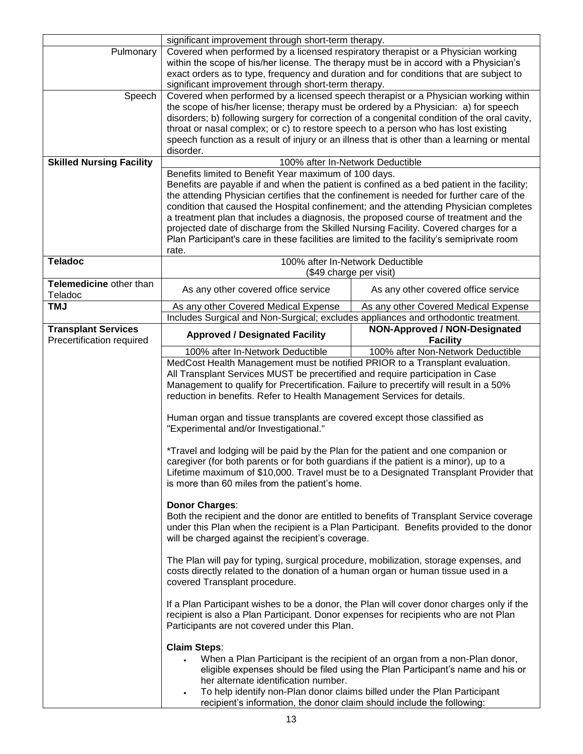|                                 | significant improvement through short-term therapy.                                                                                                                                                   |                                      |  |
|---------------------------------|-------------------------------------------------------------------------------------------------------------------------------------------------------------------------------------------------------|--------------------------------------|--|
| Pulmonary                       | Covered when performed by a licensed respiratory therapist or a Physician working                                                                                                                     |                                      |  |
|                                 | within the scope of his/her license. The therapy must be in accord with a Physician's                                                                                                                 |                                      |  |
|                                 | exact orders as to type, frequency and duration and for conditions that are subject to                                                                                                                |                                      |  |
|                                 |                                                                                                                                                                                                       |                                      |  |
| Speech                          | significant improvement through short-term therapy.<br>Covered when performed by a licensed speech therapist or a Physician working within                                                            |                                      |  |
|                                 | the scope of his/her license; therapy must be ordered by a Physician: a) for speech                                                                                                                   |                                      |  |
|                                 | disorders; b) following surgery for correction of a congenital condition of the oral cavity,                                                                                                          |                                      |  |
|                                 | throat or nasal complex; or c) to restore speech to a person who has lost existing                                                                                                                    |                                      |  |
|                                 |                                                                                                                                                                                                       |                                      |  |
|                                 | speech function as a result of injury or an illness that is other than a learning or mental<br>disorder.                                                                                              |                                      |  |
| <b>Skilled Nursing Facility</b> |                                                                                                                                                                                                       |                                      |  |
|                                 | 100% after In-Network Deductible                                                                                                                                                                      |                                      |  |
|                                 | Benefits limited to Benefit Year maximum of 100 days.                                                                                                                                                 |                                      |  |
|                                 | Benefits are payable if and when the patient is confined as a bed patient in the facility;                                                                                                            |                                      |  |
|                                 | the attending Physician certifies that the confinement is needed for further care of the                                                                                                              |                                      |  |
|                                 | condition that caused the Hospital confinement; and the attending Physician completes                                                                                                                 |                                      |  |
|                                 | a treatment plan that includes a diagnosis, the proposed course of treatment and the                                                                                                                  |                                      |  |
|                                 | projected date of discharge from the Skilled Nursing Facility. Covered charges for a                                                                                                                  |                                      |  |
|                                 | Plan Participant's care in these facilities are limited to the facility's semiprivate room                                                                                                            |                                      |  |
|                                 | rate.                                                                                                                                                                                                 |                                      |  |
| <b>Teladoc</b>                  |                                                                                                                                                                                                       | 100% after In-Network Deductible     |  |
|                                 | (\$49 charge per visit)                                                                                                                                                                               |                                      |  |
| Telemedicine other than         | As any other covered office service                                                                                                                                                                   | As any other covered office service  |  |
| Teladoc                         |                                                                                                                                                                                                       |                                      |  |
| <b>TMJ</b>                      | As any other Covered Medical Expense                                                                                                                                                                  | As any other Covered Medical Expense |  |
|                                 | Includes Surgical and Non-Surgical; excludes appliances and orthodontic treatment.                                                                                                                    |                                      |  |
| <b>Transplant Services</b>      | <b>Approved / Designated Facility</b>                                                                                                                                                                 | NON-Approved / NON-Designated        |  |
| Precertification required       |                                                                                                                                                                                                       | <b>Facility</b>                      |  |
|                                 | 100% after In-Network Deductible                                                                                                                                                                      | 100% after Non-Network Deductible    |  |
|                                 | MedCost Health Management must be notified PRIOR to a Transplant evaluation.                                                                                                                          |                                      |  |
|                                 | All Transplant Services MUST be precertified and require participation in Case                                                                                                                        |                                      |  |
|                                 | Management to qualify for Precertification. Failure to precertify will result in a 50%                                                                                                                |                                      |  |
|                                 | reduction in benefits. Refer to Health Management Services for details.                                                                                                                               |                                      |  |
|                                 |                                                                                                                                                                                                       |                                      |  |
|                                 | Human organ and tissue transplants are covered except those classified as                                                                                                                             |                                      |  |
|                                 | "Experimental and/or Investigational."                                                                                                                                                                |                                      |  |
|                                 |                                                                                                                                                                                                       |                                      |  |
|                                 | *Travel and lodging will be paid by the Plan for the patient and one companion or                                                                                                                     |                                      |  |
|                                 | caregiver (for both parents or for both guardians if the patient is a minor), up to a                                                                                                                 |                                      |  |
|                                 | Lifetime maximum of \$10,000. Travel must be to a Designated Transplant Provider that                                                                                                                 |                                      |  |
|                                 | is more than 60 miles from the patient's home.                                                                                                                                                        |                                      |  |
|                                 |                                                                                                                                                                                                       |                                      |  |
|                                 | <b>Donor Charges:</b>                                                                                                                                                                                 |                                      |  |
|                                 | Both the recipient and the donor are entitled to benefits of Transplant Service coverage                                                                                                              |                                      |  |
|                                 | under this Plan when the recipient is a Plan Participant. Benefits provided to the donor                                                                                                              |                                      |  |
|                                 | will be charged against the recipient's coverage.                                                                                                                                                     |                                      |  |
|                                 |                                                                                                                                                                                                       |                                      |  |
|                                 | The Plan will pay for typing, surgical procedure, mobilization, storage expenses, and                                                                                                                 |                                      |  |
|                                 |                                                                                                                                                                                                       |                                      |  |
|                                 | costs directly related to the donation of a human organ or human tissue used in a<br>covered Transplant procedure.                                                                                    |                                      |  |
|                                 |                                                                                                                                                                                                       |                                      |  |
|                                 | If a Plan Participant wishes to be a donor, the Plan will cover donor charges only if the                                                                                                             |                                      |  |
|                                 |                                                                                                                                                                                                       |                                      |  |
|                                 | recipient is also a Plan Participant. Donor expenses for recipients who are not Plan<br>Participants are not covered under this Plan.                                                                 |                                      |  |
|                                 |                                                                                                                                                                                                       |                                      |  |
|                                 | <b>Claim Steps:</b>                                                                                                                                                                                   |                                      |  |
|                                 |                                                                                                                                                                                                       |                                      |  |
|                                 | When a Plan Participant is the recipient of an organ from a non-Plan donor,<br>eligible expenses should be filed using the Plan Participant's name and his or<br>her alternate identification number. |                                      |  |
|                                 |                                                                                                                                                                                                       |                                      |  |
|                                 | To help identify non-Plan donor claims billed under the Plan Participant<br>$\bullet$                                                                                                                 |                                      |  |
|                                 | recipient's information, the donor claim should include the following:                                                                                                                                |                                      |  |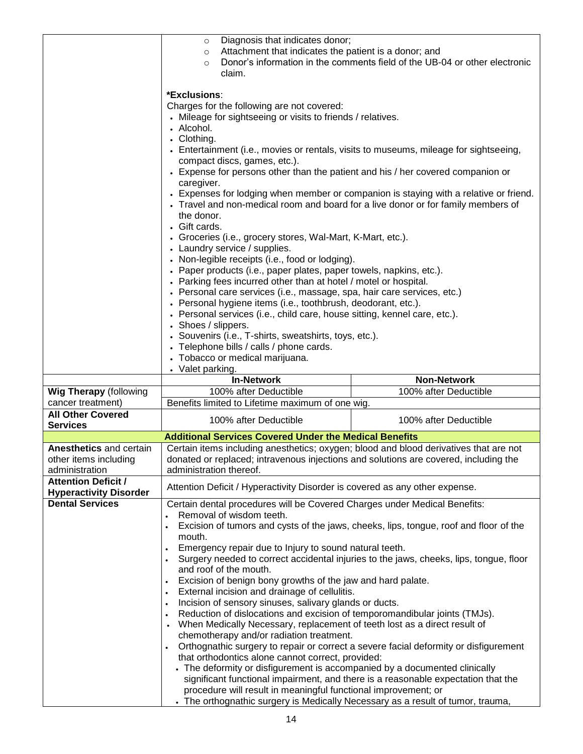|                                | Diagnosis that indicates donor;<br>$\circ$                                                                                              |                                                                                        |  |
|--------------------------------|-----------------------------------------------------------------------------------------------------------------------------------------|----------------------------------------------------------------------------------------|--|
|                                | Attachment that indicates the patient is a donor; and<br>$\circ$                                                                        |                                                                                        |  |
|                                | Donor's information in the comments field of the UB-04 or other electronic<br>$\circ$                                                   |                                                                                        |  |
|                                | claim.                                                                                                                                  |                                                                                        |  |
|                                |                                                                                                                                         |                                                                                        |  |
|                                | *Exclusions:                                                                                                                            |                                                                                        |  |
|                                | Charges for the following are not covered:                                                                                              |                                                                                        |  |
|                                | • Mileage for sightseeing or visits to friends / relatives.                                                                             |                                                                                        |  |
|                                | • Alcohol.                                                                                                                              |                                                                                        |  |
|                                | • Clothing.                                                                                                                             |                                                                                        |  |
|                                | • Entertainment (i.e., movies or rentals, visits to museums, mileage for sightseeing,                                                   |                                                                                        |  |
|                                | compact discs, games, etc.).                                                                                                            |                                                                                        |  |
|                                | • Expense for persons other than the patient and his / her covered companion or                                                         |                                                                                        |  |
|                                | caregiver.                                                                                                                              |                                                                                        |  |
|                                |                                                                                                                                         | • Expenses for lodging when member or companion is staying with a relative or friend.  |  |
|                                | • Travel and non-medical room and board for a live donor or for family members of                                                       |                                                                                        |  |
|                                | the donor.                                                                                                                              |                                                                                        |  |
|                                | • Gift cards.                                                                                                                           |                                                                                        |  |
|                                | • Groceries (i.e., grocery stores, Wal-Mart, K-Mart, etc.).<br>• Laundry service / supplies.                                            |                                                                                        |  |
|                                | • Non-legible receipts (i.e., food or lodging).                                                                                         |                                                                                        |  |
|                                |                                                                                                                                         |                                                                                        |  |
|                                | • Paper products (i.e., paper plates, paper towels, napkins, etc.).<br>• Parking fees incurred other than at hotel / motel or hospital. |                                                                                        |  |
|                                | • Personal care services (i.e., massage, spa, hair care services, etc.)                                                                 |                                                                                        |  |
|                                | • Personal hygiene items (i.e., toothbrush, deodorant, etc.).                                                                           |                                                                                        |  |
|                                | • Personal services (i.e., child care, house sitting, kennel care, etc.).                                                               |                                                                                        |  |
|                                | • Shoes / slippers.                                                                                                                     |                                                                                        |  |
|                                | • Souvenirs (i.e., T-shirts, sweatshirts, toys, etc.).                                                                                  |                                                                                        |  |
|                                | • Telephone bills / calls / phone cards.                                                                                                |                                                                                        |  |
|                                | • Tobacco or medical marijuana.                                                                                                         |                                                                                        |  |
|                                | • Valet parking.                                                                                                                        |                                                                                        |  |
|                                |                                                                                                                                         |                                                                                        |  |
|                                | <b>In-Network</b>                                                                                                                       | <b>Non-Network</b>                                                                     |  |
| <b>Wig Therapy</b> (following  | 100% after Deductible                                                                                                                   | 100% after Deductible                                                                  |  |
| cancer treatment)              | Benefits limited to Lifetime maximum of one wig.                                                                                        |                                                                                        |  |
| <b>All Other Covered</b>       |                                                                                                                                         |                                                                                        |  |
| <b>Services</b>                | 100% after Deductible                                                                                                                   | 100% after Deductible                                                                  |  |
|                                | <b>Additional Services Covered Under the Medical Benefits</b>                                                                           |                                                                                        |  |
| <b>Anesthetics and certain</b> | Certain items including anesthetics; oxygen; blood and blood derivatives that are not                                                   |                                                                                        |  |
| other items including          | donated or replaced; intravenous injections and solutions are covered, including the                                                    |                                                                                        |  |
| administration                 | administration thereof.                                                                                                                 |                                                                                        |  |
| <b>Attention Deficit /</b>     |                                                                                                                                         |                                                                                        |  |
| <b>Hyperactivity Disorder</b>  | Attention Deficit / Hyperactivity Disorder is covered as any other expense.                                                             |                                                                                        |  |
| <b>Dental Services</b>         | Certain dental procedures will be Covered Charges under Medical Benefits:                                                               |                                                                                        |  |
|                                | Removal of wisdom teeth.                                                                                                                |                                                                                        |  |
|                                | Excision of tumors and cysts of the jaws, cheeks, lips, tongue, roof and floor of the                                                   |                                                                                        |  |
|                                | mouth.                                                                                                                                  |                                                                                        |  |
|                                | Emergency repair due to Injury to sound natural teeth.                                                                                  |                                                                                        |  |
|                                |                                                                                                                                         | Surgery needed to correct accidental injuries to the jaws, cheeks, lips, tongue, floor |  |
|                                | and roof of the mouth.                                                                                                                  |                                                                                        |  |
|                                | Excision of benign bony growths of the jaw and hard palate.                                                                             |                                                                                        |  |
|                                | External incision and drainage of cellulitis.<br>$\bullet$                                                                              |                                                                                        |  |
|                                | Incision of sensory sinuses, salivary glands or ducts.<br>$\bullet$                                                                     |                                                                                        |  |
|                                | Reduction of dislocations and excision of temporomandibular joints (TMJs).                                                              |                                                                                        |  |
|                                | When Medically Necessary, replacement of teeth lost as a direct result of                                                               |                                                                                        |  |
|                                | chemotherapy and/or radiation treatment.                                                                                                |                                                                                        |  |
|                                | Orthognathic surgery to repair or correct a severe facial deformity or disfigurement                                                    |                                                                                        |  |
|                                | that orthodontics alone cannot correct, provided:<br>• The deformity or disfigurement is accompanied by a documented clinically         |                                                                                        |  |
|                                | significant functional impairment, and there is a reasonable expectation that the                                                       |                                                                                        |  |
|                                | procedure will result in meaningful functional improvement; or                                                                          |                                                                                        |  |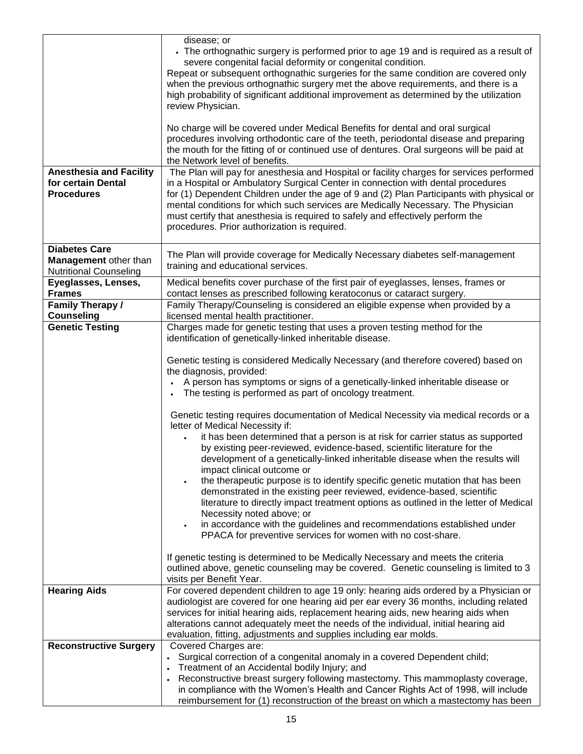|                                                                                | disease; or<br>• The orthognathic surgery is performed prior to age 19 and is required as a result of<br>severe congenital facial deformity or congenital condition.<br>Repeat or subsequent orthognathic surgeries for the same condition are covered only<br>when the previous orthognathic surgery met the above requirements, and there is a<br>high probability of significant additional improvement as determined by the utilization<br>review Physician.<br>No charge will be covered under Medical Benefits for dental and oral surgical<br>procedures involving orthodontic care of the teeth, periodontal disease and preparing<br>the mouth for the fitting of or continued use of dentures. Oral surgeons will be paid at |
|--------------------------------------------------------------------------------|----------------------------------------------------------------------------------------------------------------------------------------------------------------------------------------------------------------------------------------------------------------------------------------------------------------------------------------------------------------------------------------------------------------------------------------------------------------------------------------------------------------------------------------------------------------------------------------------------------------------------------------------------------------------------------------------------------------------------------------|
| <b>Anesthesia and Facility</b>                                                 | the Network level of benefits.<br>The Plan will pay for anesthesia and Hospital or facility charges for services performed                                                                                                                                                                                                                                                                                                                                                                                                                                                                                                                                                                                                             |
| for certain Dental<br><b>Procedures</b>                                        | in a Hospital or Ambulatory Surgical Center in connection with dental procedures<br>for (1) Dependent Children under the age of 9 and (2) Plan Participants with physical or<br>mental conditions for which such services are Medically Necessary. The Physician<br>must certify that anesthesia is required to safely and effectively perform the<br>procedures. Prior authorization is required.                                                                                                                                                                                                                                                                                                                                     |
| <b>Diabetes Care</b><br>Management other than<br><b>Nutritional Counseling</b> | The Plan will provide coverage for Medically Necessary diabetes self-management<br>training and educational services.                                                                                                                                                                                                                                                                                                                                                                                                                                                                                                                                                                                                                  |
| Eyeglasses, Lenses,<br><b>Frames</b>                                           | Medical benefits cover purchase of the first pair of eyeglasses, lenses, frames or<br>contact lenses as prescribed following keratoconus or cataract surgery.                                                                                                                                                                                                                                                                                                                                                                                                                                                                                                                                                                          |
| Family Therapy /<br><b>Counseling</b>                                          | Family Therapy/Counseling is considered an eligible expense when provided by a<br>licensed mental health practitioner.                                                                                                                                                                                                                                                                                                                                                                                                                                                                                                                                                                                                                 |
| <b>Genetic Testing</b>                                                         | Charges made for genetic testing that uses a proven testing method for the<br>identification of genetically-linked inheritable disease.                                                                                                                                                                                                                                                                                                                                                                                                                                                                                                                                                                                                |
|                                                                                | Genetic testing is considered Medically Necessary (and therefore covered) based on<br>the diagnosis, provided:<br>A person has symptoms or signs of a genetically-linked inheritable disease or<br>The testing is performed as part of oncology treatment.<br>Genetic testing requires documentation of Medical Necessity via medical records or a<br>letter of Medical Necessity if:                                                                                                                                                                                                                                                                                                                                                  |
|                                                                                | it has been determined that a person is at risk for carrier status as supported<br>by existing peer-reviewed, evidence-based, scientific literature for the<br>development of a genetically-linked inheritable disease when the results will<br>impact clinical outcome or<br>the therapeutic purpose is to identify specific genetic mutation that has been<br>demonstrated in the existing peer reviewed, evidence-based, scientific<br>literature to directly impact treatment options as outlined in the letter of Medical<br>Necessity noted above; or<br>in accordance with the guidelines and recommendations established under<br>PPACA for preventive services for women with no cost-share.                                  |
|                                                                                | If genetic testing is determined to be Medically Necessary and meets the criteria<br>outlined above, genetic counseling may be covered. Genetic counseling is limited to 3<br>visits per Benefit Year.                                                                                                                                                                                                                                                                                                                                                                                                                                                                                                                                 |
| <b>Hearing Aids</b>                                                            | For covered dependent children to age 19 only: hearing aids ordered by a Physician or<br>audiologist are covered for one hearing aid per ear every 36 months, including related<br>services for initial hearing aids, replacement hearing aids, new hearing aids when<br>alterations cannot adequately meet the needs of the individual, initial hearing aid<br>evaluation, fitting, adjustments and supplies including ear molds.                                                                                                                                                                                                                                                                                                     |
| <b>Reconstructive Surgery</b>                                                  | Covered Charges are:<br>• Surgical correction of a congenital anomaly in a covered Dependent child;                                                                                                                                                                                                                                                                                                                                                                                                                                                                                                                                                                                                                                    |
|                                                                                | Treatment of an Accidental bodily Injury; and<br>Reconstructive breast surgery following mastectomy. This mammoplasty coverage,<br>in compliance with the Women's Health and Cancer Rights Act of 1998, will include<br>reimbursement for (1) reconstruction of the breast on which a mastectomy has been                                                                                                                                                                                                                                                                                                                                                                                                                              |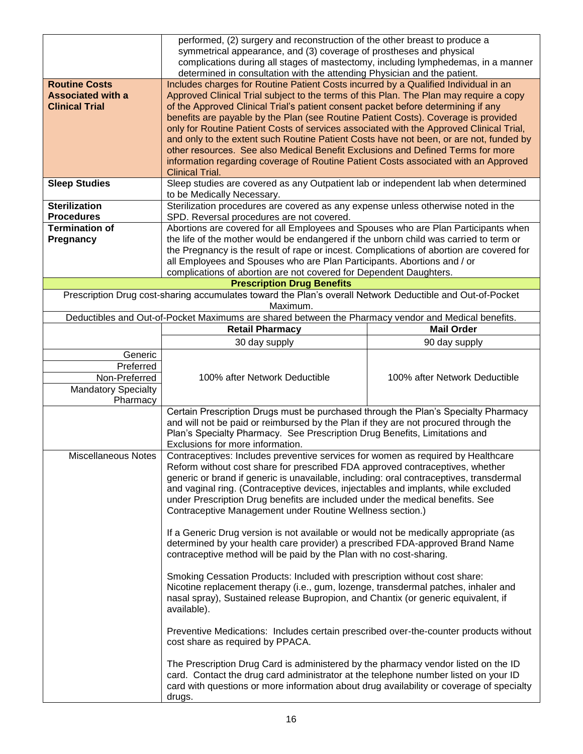|                            | performed, (2) surgery and reconstruction of the other breast to produce a<br>symmetrical appearance, and (3) coverage of prostheses and physical                         |                               |  |
|----------------------------|---------------------------------------------------------------------------------------------------------------------------------------------------------------------------|-------------------------------|--|
|                            | complications during all stages of mastectomy, including lymphedemas, in a manner<br>determined in consultation with the attending Physician and the patient.             |                               |  |
| <b>Routine Costs</b>       | Includes charges for Routine Patient Costs incurred by a Qualified Individual in an                                                                                       |                               |  |
| <b>Associated with a</b>   | Approved Clinical Trial subject to the terms of this Plan. The Plan may require a copy                                                                                    |                               |  |
| <b>Clinical Trial</b>      | of the Approved Clinical Trial's patient consent packet before determining if any                                                                                         |                               |  |
|                            | benefits are payable by the Plan (see Routine Patient Costs). Coverage is provided                                                                                        |                               |  |
|                            | only for Routine Patient Costs of services associated with the Approved Clinical Trial,                                                                                   |                               |  |
|                            | and only to the extent such Routine Patient Costs have not been, or are not, funded by                                                                                    |                               |  |
|                            | other resources. See also Medical Benefit Exclusions and Defined Terms for more                                                                                           |                               |  |
|                            | information regarding coverage of Routine Patient Costs associated with an Approved                                                                                       |                               |  |
|                            | <b>Clinical Trial.</b>                                                                                                                                                    |                               |  |
| <b>Sleep Studies</b>       | Sleep studies are covered as any Outpatient lab or independent lab when determined                                                                                        |                               |  |
|                            | to be Medically Necessary.                                                                                                                                                |                               |  |
| <b>Sterilization</b>       | Sterilization procedures are covered as any expense unless otherwise noted in the                                                                                         |                               |  |
| <b>Procedures</b>          | SPD. Reversal procedures are not covered.                                                                                                                                 |                               |  |
| <b>Termination of</b>      | Abortions are covered for all Employees and Spouses who are Plan Participants when                                                                                        |                               |  |
| Pregnancy                  | the life of the mother would be endangered if the unborn child was carried to term or                                                                                     |                               |  |
|                            | the Pregnancy is the result of rape or incest. Complications of abortion are covered for                                                                                  |                               |  |
|                            | all Employees and Spouses who are Plan Participants. Abortions and / or                                                                                                   |                               |  |
|                            | complications of abortion are not covered for Dependent Daughters.                                                                                                        |                               |  |
|                            | <b>Prescription Drug Benefits</b>                                                                                                                                         |                               |  |
|                            | Prescription Drug cost-sharing accumulates toward the Plan's overall Network Deductible and Out-of-Pocket                                                                 |                               |  |
|                            | Maximum.<br>Deductibles and Out-of-Pocket Maximums are shared between the Pharmacy vendor and Medical benefits.                                                           |                               |  |
|                            | <b>Retail Pharmacy</b>                                                                                                                                                    | <b>Mail Order</b>             |  |
|                            |                                                                                                                                                                           |                               |  |
|                            | 30 day supply                                                                                                                                                             | 90 day supply                 |  |
| Generic                    |                                                                                                                                                                           |                               |  |
| Preferred                  |                                                                                                                                                                           |                               |  |
| Non-Preferred              | 100% after Network Deductible                                                                                                                                             | 100% after Network Deductible |  |
| <b>Mandatory Specialty</b> |                                                                                                                                                                           |                               |  |
| Pharmacy                   |                                                                                                                                                                           |                               |  |
|                            | Certain Prescription Drugs must be purchased through the Plan's Specialty Pharmacy<br>and will not be paid or reimbursed by the Plan if they are not procured through the |                               |  |
|                            | Plan's Specialty Pharmacy. See Prescription Drug Benefits, Limitations and                                                                                                |                               |  |
|                            | Exclusions for more information.                                                                                                                                          |                               |  |
| <b>Miscellaneous Notes</b> | Contraceptives: Includes preventive services for women as required by Healthcare                                                                                          |                               |  |
|                            | Reform without cost share for prescribed FDA approved contraceptives, whether                                                                                             |                               |  |
|                            | generic or brand if generic is unavailable, including: oral contraceptives, transdermal                                                                                   |                               |  |
|                            |                                                                                                                                                                           |                               |  |
|                            | and vaginal ring. (Contraceptive devices, injectables and implants, while excluded<br>under Prescription Drug benefits are included under the medical benefits. See       |                               |  |
|                            | Contraceptive Management under Routine Wellness section.)                                                                                                                 |                               |  |
|                            |                                                                                                                                                                           |                               |  |
|                            | If a Generic Drug version is not available or would not be medically appropriate (as                                                                                      |                               |  |
|                            | determined by your health care provider) a prescribed FDA-approved Brand Name                                                                                             |                               |  |
|                            | contraceptive method will be paid by the Plan with no cost-sharing.                                                                                                       |                               |  |
|                            |                                                                                                                                                                           |                               |  |
|                            | Smoking Cessation Products: Included with prescription without cost share:                                                                                                |                               |  |
|                            | Nicotine replacement therapy (i.e., gum, lozenge, transdermal patches, inhaler and                                                                                        |                               |  |
|                            |                                                                                                                                                                           |                               |  |
|                            | nasal spray), Sustained release Bupropion, and Chantix (or generic equivalent, if                                                                                         |                               |  |
|                            | available).                                                                                                                                                               |                               |  |
|                            |                                                                                                                                                                           |                               |  |
|                            | Preventive Medications: Includes certain prescribed over-the-counter products without<br>cost share as required by PPACA.                                                 |                               |  |
|                            |                                                                                                                                                                           |                               |  |
|                            | The Prescription Drug Card is administered by the pharmacy vendor listed on the ID<br>card. Contact the drug card administrator at the telephone number listed on your ID |                               |  |
|                            | card with questions or more information about drug availability or coverage of specialty                                                                                  |                               |  |